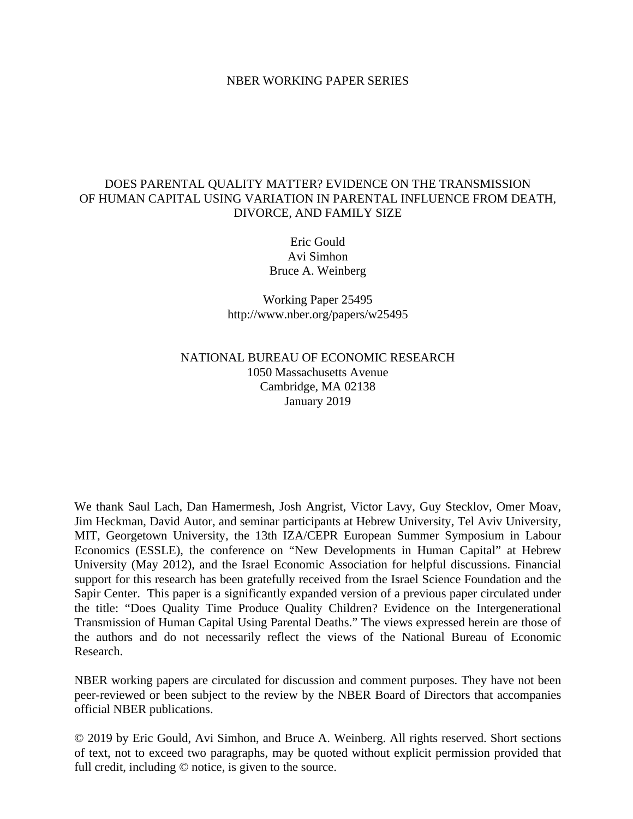### NBER WORKING PAPER SERIES

## DOES PARENTAL QUALITY MATTER? EVIDENCE ON THE TRANSMISSION OF HUMAN CAPITAL USING VARIATION IN PARENTAL INFLUENCE FROM DEATH, DIVORCE, AND FAMILY SIZE

Eric Gould Avi Simhon Bruce A. Weinberg

Working Paper 25495 http://www.nber.org/papers/w25495

# NATIONAL BUREAU OF ECONOMIC RESEARCH 1050 Massachusetts Avenue Cambridge, MA 02138 January 2019

We thank Saul Lach, Dan Hamermesh, Josh Angrist, Victor Lavy, Guy Stecklov, Omer Moav, Jim Heckman, David Autor, and seminar participants at Hebrew University, Tel Aviv University, MIT, Georgetown University, the 13th IZA/CEPR European Summer Symposium in Labour Economics (ESSLE), the conference on "New Developments in Human Capital" at Hebrew University (May 2012), and the Israel Economic Association for helpful discussions. Financial support for this research has been gratefully received from the Israel Science Foundation and the Sapir Center. This paper is a significantly expanded version of a previous paper circulated under the title: "Does Quality Time Produce Quality Children? Evidence on the Intergenerational Transmission of Human Capital Using Parental Deaths." The views expressed herein are those of the authors and do not necessarily reflect the views of the National Bureau of Economic Research.

NBER working papers are circulated for discussion and comment purposes. They have not been peer-reviewed or been subject to the review by the NBER Board of Directors that accompanies official NBER publications.

© 2019 by Eric Gould, Avi Simhon, and Bruce A. Weinberg. All rights reserved. Short sections of text, not to exceed two paragraphs, may be quoted without explicit permission provided that full credit, including © notice, is given to the source.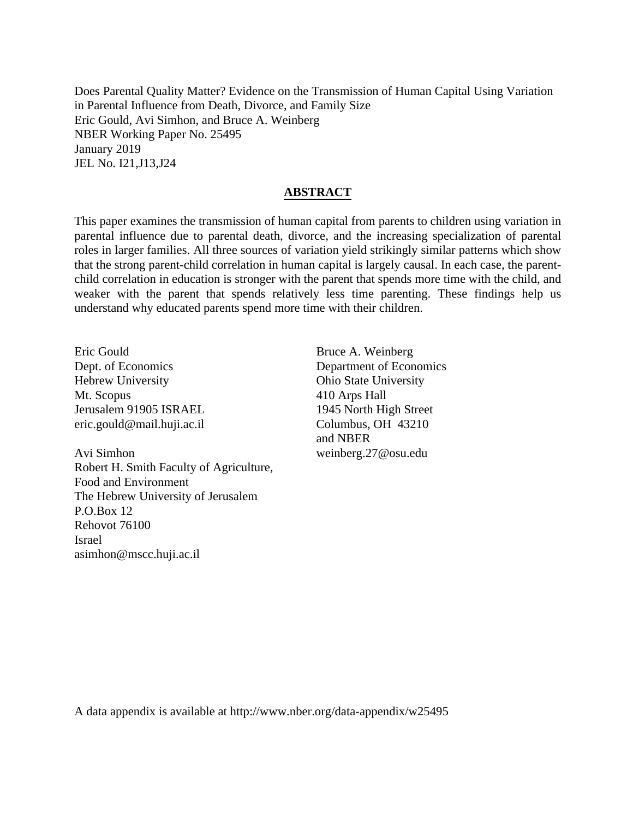Does Parental Quality Matter? Evidence on the Transmission of Human Capital Using Variation in Parental Influence from Death, Divorce, and Family Size Eric Gould, Avi Simhon, and Bruce A. Weinberg NBER Working Paper No. 25495 January 2019 JEL No. I21,J13,J24

## **ABSTRACT**

This paper examines the transmission of human capital from parents to children using variation in parental influence due to parental death, divorce, and the increasing specialization of parental roles in larger families. All three sources of variation yield strikingly similar patterns which show that the strong parent-child correlation in human capital is largely causal. In each case, the parentchild correlation in education is stronger with the parent that spends more time with the child, and weaker with the parent that spends relatively less time parenting. These findings help us understand why educated parents spend more time with their children.

Eric Gould Dept. of Economics Hebrew University Mt. Scopus Jerusalem 91905 ISRAEL eric.gould@mail.huji.ac.il

Avi Simhon Robert H. Smith Faculty of Agriculture, Food and Environment The Hebrew University of Jerusalem P.O.Box 12 Rehovot 76100 Israel asimhon@mscc.huji.ac.il

Bruce A. Weinberg Department of Economics Ohio State University 410 Arps Hall 1945 North High Street Columbus, OH 43210 and NBER weinberg.27@osu.edu

A data appendix is available at http://www.nber.org/data-appendix/w25495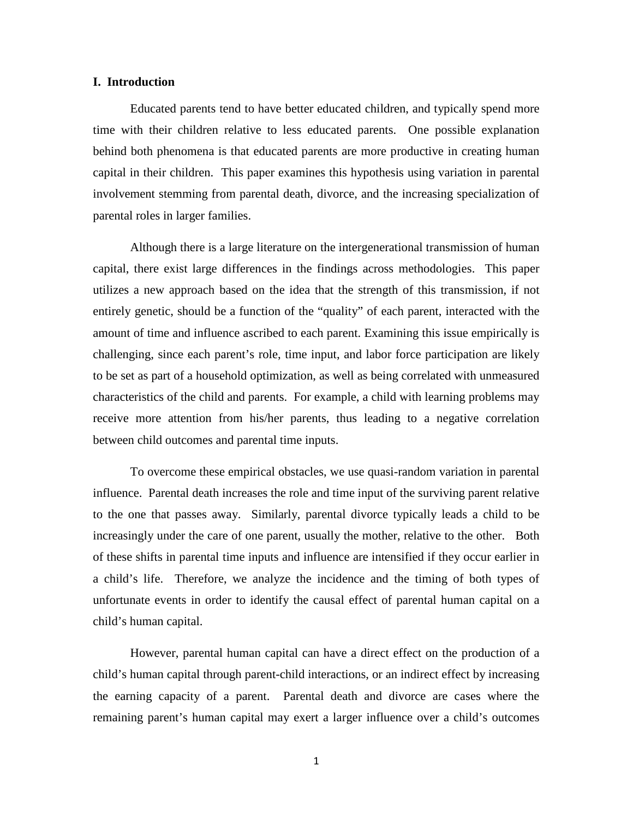## **I. Introduction**

Educated parents tend to have better educated children, and typically spend more time with their children relative to less educated parents. One possible explanation behind both phenomena is that educated parents are more productive in creating human capital in their children. This paper examines this hypothesis using variation in parental involvement stemming from parental death, divorce, and the increasing specialization of parental roles in larger families.

Although there is a large literature on the intergenerational transmission of human capital, there exist large differences in the findings across methodologies. This paper utilizes a new approach based on the idea that the strength of this transmission, if not entirely genetic, should be a function of the "quality" of each parent, interacted with the amount of time and influence ascribed to each parent. Examining this issue empirically is challenging, since each parent's role, time input, and labor force participation are likely to be set as part of a household optimization, as well as being correlated with unmeasured characteristics of the child and parents. For example, a child with learning problems may receive more attention from his/her parents, thus leading to a negative correlation between child outcomes and parental time inputs.

To overcome these empirical obstacles, we use quasi-random variation in parental influence. Parental death increases the role and time input of the surviving parent relative to the one that passes away. Similarly, parental divorce typically leads a child to be increasingly under the care of one parent, usually the mother, relative to the other. Both of these shifts in parental time inputs and influence are intensified if they occur earlier in a child's life. Therefore, we analyze the incidence and the timing of both types of unfortunate events in order to identify the causal effect of parental human capital on a child's human capital.

However, parental human capital can have a direct effect on the production of a child's human capital through parent-child interactions, or an indirect effect by increasing the earning capacity of a parent. Parental death and divorce are cases where the remaining parent's human capital may exert a larger influence over a child's outcomes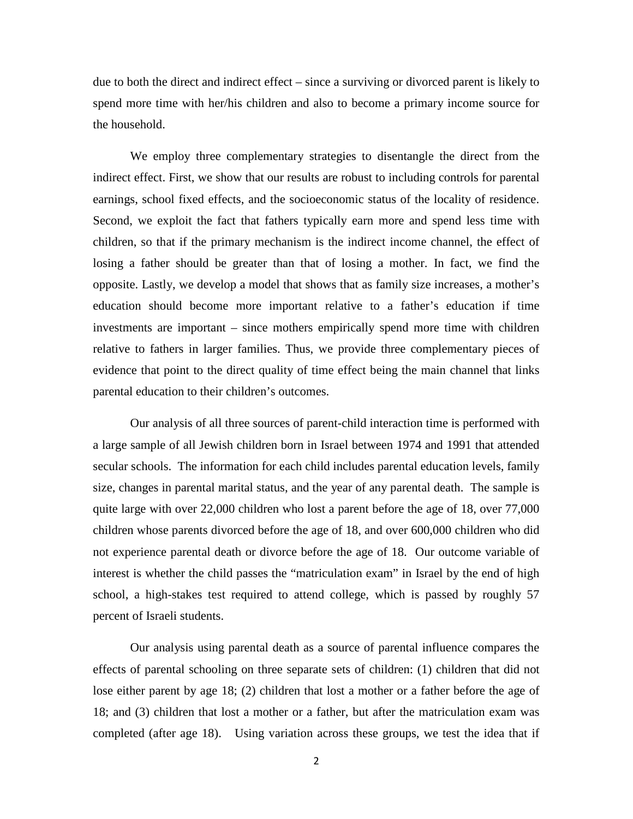due to both the direct and indirect effect – since a surviving or divorced parent is likely to spend more time with her/his children and also to become a primary income source for the household.

We employ three complementary strategies to disentangle the direct from the indirect effect. First, we show that our results are robust to including controls for parental earnings, school fixed effects, and the socioeconomic status of the locality of residence. Second, we exploit the fact that fathers typically earn more and spend less time with children, so that if the primary mechanism is the indirect income channel, the effect of losing a father should be greater than that of losing a mother. In fact, we find the opposite. Lastly, we develop a model that shows that as family size increases, a mother's education should become more important relative to a father's education if time investments are important – since mothers empirically spend more time with children relative to fathers in larger families. Thus, we provide three complementary pieces of evidence that point to the direct quality of time effect being the main channel that links parental education to their children's outcomes.

Our analysis of all three sources of parent-child interaction time is performed with a large sample of all Jewish children born in Israel between 1974 and 1991 that attended secular schools. The information for each child includes parental education levels, family size, changes in parental marital status, and the year of any parental death. The sample is quite large with over 22,000 children who lost a parent before the age of 18, over 77,000 children whose parents divorced before the age of 18, and over 600,000 children who did not experience parental death or divorce before the age of 18. Our outcome variable of interest is whether the child passes the "matriculation exam" in Israel by the end of high school, a high-stakes test required to attend college, which is passed by roughly 57 percent of Israeli students.

Our analysis using parental death as a source of parental influence compares the effects of parental schooling on three separate sets of children: (1) children that did not lose either parent by age 18; (2) children that lost a mother or a father before the age of 18; and (3) children that lost a mother or a father, but after the matriculation exam was completed (after age 18). Using variation across these groups, we test the idea that if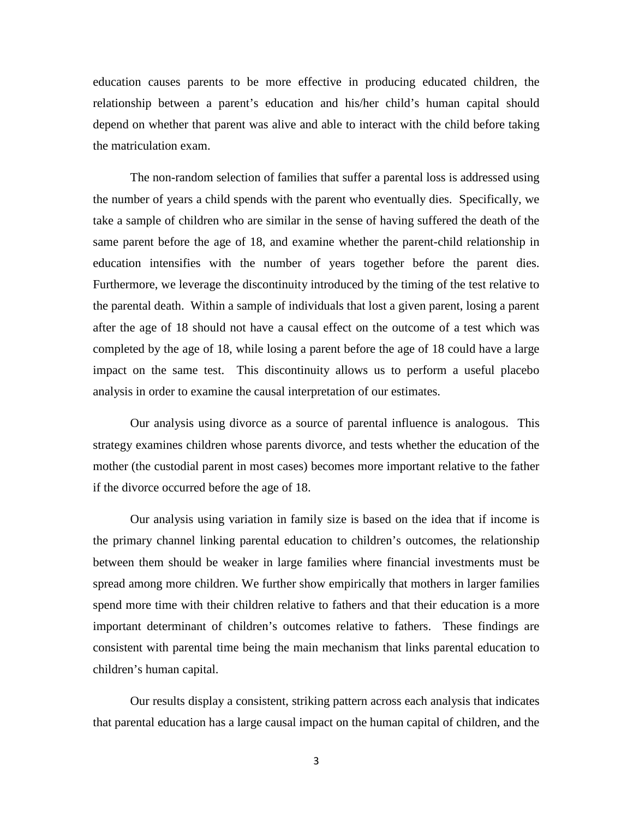education causes parents to be more effective in producing educated children, the relationship between a parent's education and his/her child's human capital should depend on whether that parent was alive and able to interact with the child before taking the matriculation exam.

The non-random selection of families that suffer a parental loss is addressed using the number of years a child spends with the parent who eventually dies. Specifically, we take a sample of children who are similar in the sense of having suffered the death of the same parent before the age of 18, and examine whether the parent-child relationship in education intensifies with the number of years together before the parent dies. Furthermore, we leverage the discontinuity introduced by the timing of the test relative to the parental death. Within a sample of individuals that lost a given parent, losing a parent after the age of 18 should not have a causal effect on the outcome of a test which was completed by the age of 18, while losing a parent before the age of 18 could have a large impact on the same test. This discontinuity allows us to perform a useful placebo analysis in order to examine the causal interpretation of our estimates.

Our analysis using divorce as a source of parental influence is analogous. This strategy examines children whose parents divorce, and tests whether the education of the mother (the custodial parent in most cases) becomes more important relative to the father if the divorce occurred before the age of 18.

Our analysis using variation in family size is based on the idea that if income is the primary channel linking parental education to children's outcomes, the relationship between them should be weaker in large families where financial investments must be spread among more children. We further show empirically that mothers in larger families spend more time with their children relative to fathers and that their education is a more important determinant of children's outcomes relative to fathers. These findings are consistent with parental time being the main mechanism that links parental education to children's human capital.

Our results display a consistent, striking pattern across each analysis that indicates that parental education has a large causal impact on the human capital of children, and the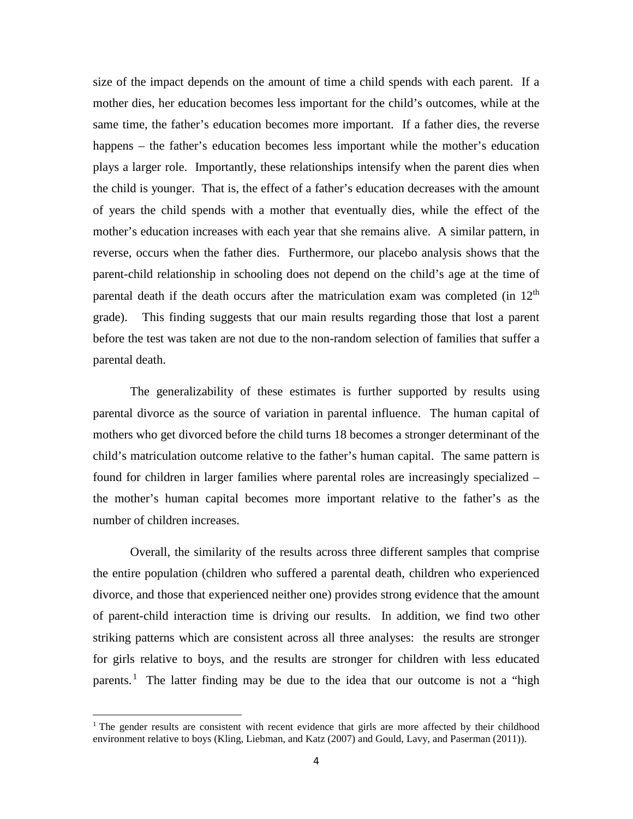size of the impact depends on the amount of time a child spends with each parent. If a mother dies, her education becomes less important for the child's outcomes, while at the same time, the father's education becomes more important. If a father dies, the reverse happens – the father's education becomes less important while the mother's education plays a larger role. Importantly, these relationships intensify when the parent dies when the child is younger. That is, the effect of a father's education decreases with the amount of years the child spends with a mother that eventually dies, while the effect of the mother's education increases with each year that she remains alive. A similar pattern, in reverse, occurs when the father dies. Furthermore, our placebo analysis shows that the parent-child relationship in schooling does not depend on the child's age at the time of parental death if the death occurs after the matriculation exam was completed (in  $12<sup>th</sup>$ grade). This finding suggests that our main results regarding those that lost a parent before the test was taken are not due to the non-random selection of families that suffer a parental death.

The generalizability of these estimates is further supported by results using parental divorce as the source of variation in parental influence. The human capital of mothers who get divorced before the child turns 18 becomes a stronger determinant of the child's matriculation outcome relative to the father's human capital. The same pattern is found for children in larger families where parental roles are increasingly specialized – the mother's human capital becomes more important relative to the father's as the number of children increases.

Overall, the similarity of the results across three different samples that comprise the entire population (children who suffered a parental death, children who experienced divorce, and those that experienced neither one) provides strong evidence that the amount of parent-child interaction time is driving our results. In addition, we find two other striking patterns which are consistent across all three analyses: the results are stronger for girls relative to boys, and the results are stronger for children with less educated parents.<sup>[1](#page-5-0)</sup> The latter finding may be due to the idea that our outcome is not a "high

l

<span id="page-5-0"></span> $1$ <sup>1</sup> The gender results are consistent with recent evidence that girls are more affected by their childhood environment relative to boys (Kling, Liebman, and Katz (2007) and Gould, Lavy, and Paserman (2011)).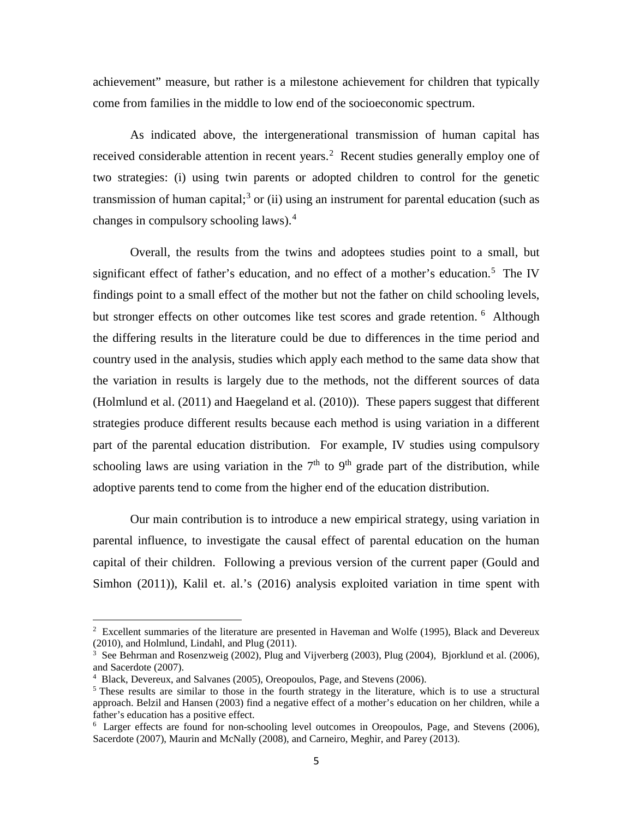achievement" measure, but rather is a milestone achievement for children that typically come from families in the middle to low end of the socioeconomic spectrum.

As indicated above, the intergenerational transmission of human capital has received considerable attention in recent years.<sup>[2](#page-6-0)</sup> Recent studies generally employ one of two strategies: (i) using twin parents or adopted children to control for the genetic transmission of human capital;<sup>[3](#page-6-1)</sup> or (ii) using an instrument for parental education (such as changes in compulsory schooling laws).<sup>[4](#page-6-2)</sup>

Overall, the results from the twins and adoptees studies point to a small, but significant effect of father's education, and no effect of a mother's education.<sup>[5](#page-6-3)</sup> The IV findings point to a small effect of the mother but not the father on child schooling levels, but stronger effects on other outcomes like test scores and grade retention. <sup>[6](#page-6-4)</sup> Although the differing results in the literature could be due to differences in the time period and country used in the analysis, studies which apply each method to the same data show that the variation in results is largely due to the methods, not the different sources of data (Holmlund et al. (2011) and Haegeland et al. (2010)). These papers suggest that different strategies produce different results because each method is using variation in a different part of the parental education distribution. For example, IV studies using compulsory schooling laws are using variation in the  $7<sup>th</sup>$  to  $9<sup>th</sup>$  grade part of the distribution, while adoptive parents tend to come from the higher end of the education distribution.

Our main contribution is to introduce a new empirical strategy, using variation in parental influence, to investigate the causal effect of parental education on the human capital of their children. Following a previous version of the current paper (Gould and Simhon (2011)), Kalil et. al.'s (2016) analysis exploited variation in time spent with

l

<span id="page-6-0"></span> $2$  Excellent summaries of the literature are presented in Haveman and Wolfe (1995), Black and Devereux (2010), and Holmlund, Lindahl, and Plug (2011).

<span id="page-6-1"></span><sup>&</sup>lt;sup>3</sup> See Behrman and Rosenzweig (2002), Plug and Vijverberg (2003), Plug (2004), Bjorklund et al. (2006), and Sacerdote (2007).

<span id="page-6-2"></span><sup>4</sup> Black, Devereux, and Salvanes (2005), Oreopoulos, Page, and Stevens (2006).

<span id="page-6-3"></span> $<sup>5</sup>$  These results are similar to those in the fourth strategy in the literature, which is to use a structural</sup> approach. Belzil and Hansen (2003) find a negative effect of a mother's education on her children, while a father's education has a positive effect.

<span id="page-6-4"></span> $6$  Larger effects are found for non-schooling level outcomes in Oreopoulos, Page, and Stevens (2006), Sacerdote (2007), Maurin and McNally (2008), and Carneiro, Meghir, and Parey (2013).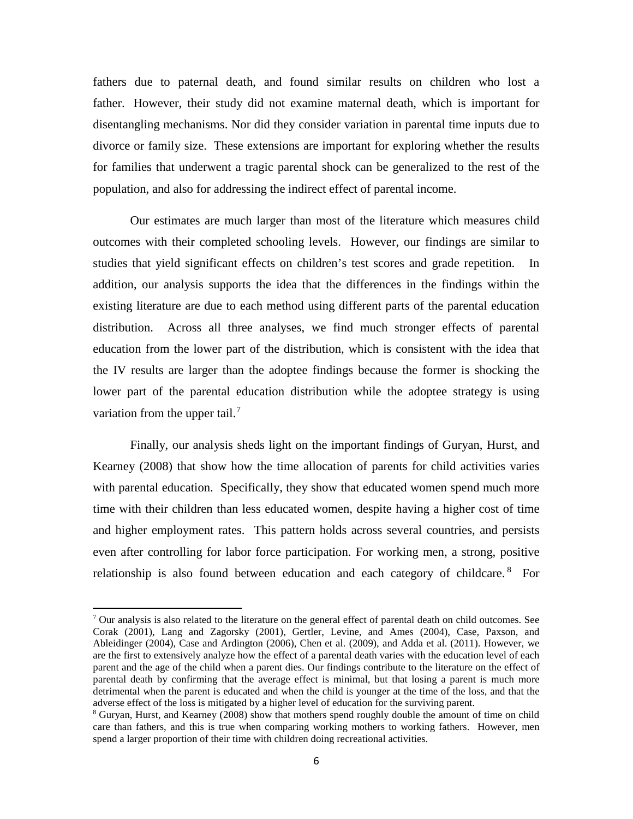fathers due to paternal death, and found similar results on children who lost a father. However, their study did not examine maternal death, which is important for disentangling mechanisms. Nor did they consider variation in parental time inputs due to divorce or family size. These extensions are important for exploring whether the results for families that underwent a tragic parental shock can be generalized to the rest of the population, and also for addressing the indirect effect of parental income.

Our estimates are much larger than most of the literature which measures child outcomes with their completed schooling levels. However, our findings are similar to studies that yield significant effects on children's test scores and grade repetition. In addition, our analysis supports the idea that the differences in the findings within the existing literature are due to each method using different parts of the parental education distribution. Across all three analyses, we find much stronger effects of parental education from the lower part of the distribution, which is consistent with the idea that the IV results are larger than the adoptee findings because the former is shocking the lower part of the parental education distribution while the adoptee strategy is using variation from the upper tail.<sup>[7](#page-7-0)</sup>

Finally, our analysis sheds light on the important findings of Guryan, Hurst, and Kearney (2008) that show how the time allocation of parents for child activities varies with parental education. Specifically, they show that educated women spend much more time with their children than less educated women, despite having a higher cost of time and higher employment rates. This pattern holds across several countries, and persists even after controlling for labor force participation. For working men, a strong, positive relationship is also found between education and each category of childcare.<sup>[8](#page-7-1)</sup> For

 $\overline{\phantom{a}}$ 

<span id="page-7-0"></span><sup>&</sup>lt;sup>7</sup> Our analysis is also related to the literature on the general effect of parental death on child outcomes. See Corak (2001), Lang and Zagorsky (2001), Gertler, Levine, and Ames (2004), Case, Paxson, and Ableidinger (2004), Case and Ardington (2006), Chen et al. (2009), and Adda et al. (2011). However, we are the first to extensively analyze how the effect of a parental death varies with the education level of each parent and the age of the child when a parent dies. Our findings contribute to the literature on the effect of parental death by confirming that the average effect is minimal, but that losing a parent is much more detrimental when the parent is educated and when the child is younger at the time of the loss, and that the adverse effect of the loss is mitigated by a higher level of education for the surviving parent.

<span id="page-7-1"></span><sup>&</sup>lt;sup>8</sup> Guryan, Hurst, and Kearney (2008) show that mothers spend roughly double the amount of time on child care than fathers, and this is true when comparing working mothers to working fathers. However, men spend a larger proportion of their time with children doing recreational activities.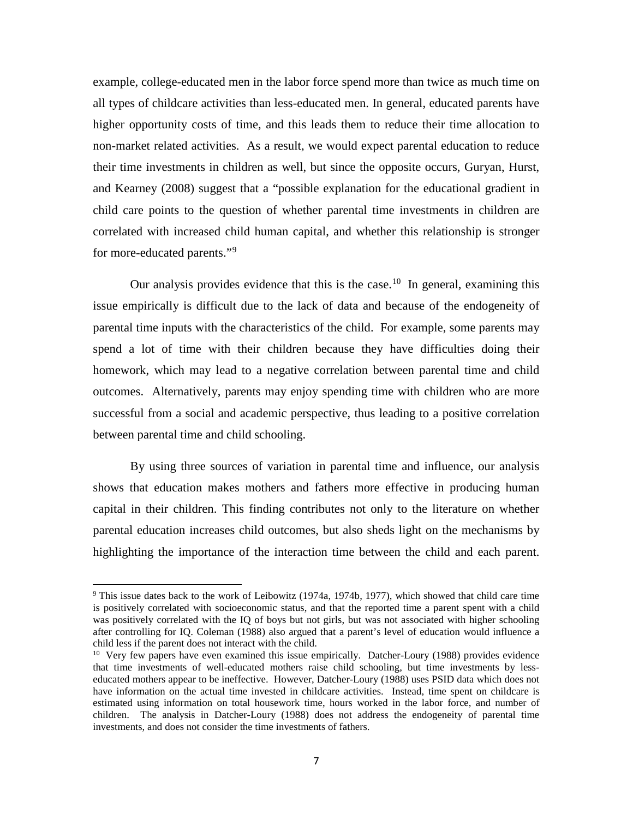example, college-educated men in the labor force spend more than twice as much time on all types of childcare activities than less-educated men. In general, educated parents have higher opportunity costs of time, and this leads them to reduce their time allocation to non-market related activities. As a result, we would expect parental education to reduce their time investments in children as well, but since the opposite occurs, Guryan, Hurst, and Kearney (2008) suggest that a "possible explanation for the educational gradient in child care points to the question of whether parental time investments in children are correlated with increased child human capital, and whether this relationship is stronger for more-educated parents."[9](#page-8-0)

Our analysis provides evidence that this is the case.<sup>10</sup> In general, examining this issue empirically is difficult due to the lack of data and because of the endogeneity of parental time inputs with the characteristics of the child. For example, some parents may spend a lot of time with their children because they have difficulties doing their homework, which may lead to a negative correlation between parental time and child outcomes. Alternatively, parents may enjoy spending time with children who are more successful from a social and academic perspective, thus leading to a positive correlation between parental time and child schooling.

By using three sources of variation in parental time and influence, our analysis shows that education makes mothers and fathers more effective in producing human capital in their children. This finding contributes not only to the literature on whether parental education increases child outcomes, but also sheds light on the mechanisms by highlighting the importance of the interaction time between the child and each parent.

l

<span id="page-8-0"></span> $9$  This issue dates back to the work of Leibowitz (1974a, 1974b, 1977), which showed that child care time is positively correlated with socioeconomic status, and that the reported time a parent spent with a child was positively correlated with the IQ of boys but not girls, but was not associated with higher schooling after controlling for IQ. Coleman (1988) also argued that a parent's level of education would influence a child less if the parent does not interact with the child.

<span id="page-8-1"></span><sup>&</sup>lt;sup>10</sup> Very few papers have even examined this issue empirically. Datcher-Loury (1988) provides evidence that time investments of well-educated mothers raise child schooling, but time investments by lesseducated mothers appear to be ineffective. However, Datcher-Loury (1988) uses PSID data which does not have information on the actual time invested in childcare activities. Instead, time spent on childcare is estimated using information on total housework time, hours worked in the labor force, and number of children. The analysis in Datcher-Loury (1988) does not address the endogeneity of parental time investments, and does not consider the time investments of fathers.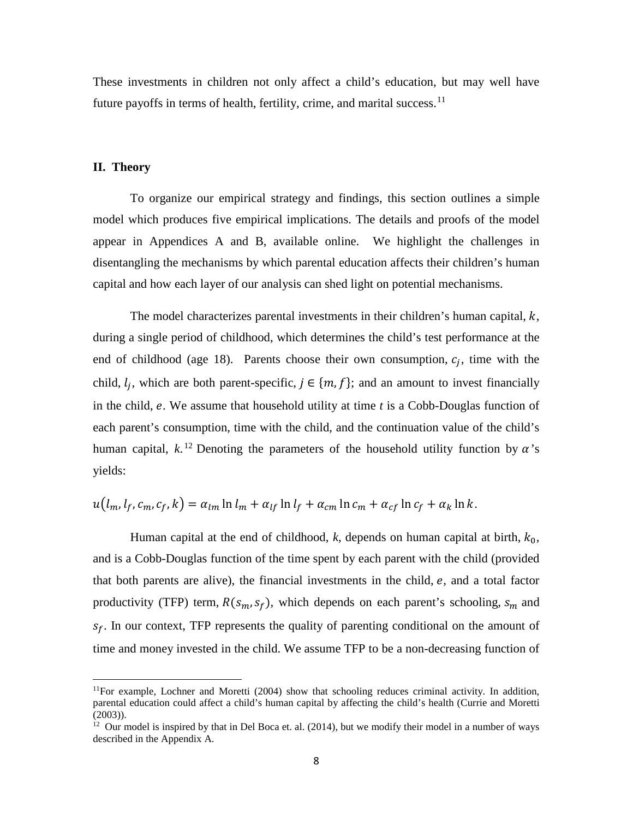These investments in children not only affect a child's education, but may well have future payoffs in terms of health, fertility, crime, and marital success.<sup>[11](#page-9-0)</sup>

## **II. Theory**

 $\overline{\phantom{a}}$ 

To organize our empirical strategy and findings, this section outlines a simple model which produces five empirical implications. The details and proofs of the model appear in Appendices A and B, available online. We highlight the challenges in disentangling the mechanisms by which parental education affects their children's human capital and how each layer of our analysis can shed light on potential mechanisms.

The model characterizes parental investments in their children's human capital,  $k$ , during a single period of childhood, which determines the child's test performance at the end of childhood (age 18). Parents choose their own consumption,  $c_i$ , time with the child,  $l_i$ , which are both parent-specific,  $j \in \{m, f\}$ ; and an amount to invest financially in the child,  $e$ . We assume that household utility at time  $t$  is a Cobb-Douglas function of each parent's consumption, time with the child, and the continuation value of the child's human capital,  $k$ <sup>[12](#page-9-1)</sup> Denoting the parameters of the household utility function by  $\alpha$ 's yields:

 $u(l_m, l_f, c_m, c_f, k) = \alpha_{lm} \ln l_m + \alpha_{lf} \ln l_f + \alpha_{cm} \ln c_m + \alpha_{cf} \ln c_f + \alpha_k \ln k.$ 

Human capital at the end of childhood,  $k$ , depends on human capital at birth,  $k_0$ , and is a Cobb-Douglas function of the time spent by each parent with the child (provided that both parents are alive), the financial investments in the child,  $e$ , and a total factor productivity (TFP) term,  $R(s_m, s_f)$ , which depends on each parent's schooling,  $s_m$  and  $s_f$ . In our context, TFP represents the quality of parenting conditional on the amount of time and money invested in the child. We assume TFP to be a non-decreasing function of

<span id="page-9-0"></span> $11$ For example, Lochner and Moretti (2004) show that schooling reduces criminal activity. In addition, parental education could affect a child's human capital by affecting the child's health (Currie and Moretti (2003)).

<span id="page-9-1"></span><sup>&</sup>lt;sup>12</sup> Our model is inspired by that in Del Boca et. al. (2014), but we modify their model in a number of ways described in the Appendix A.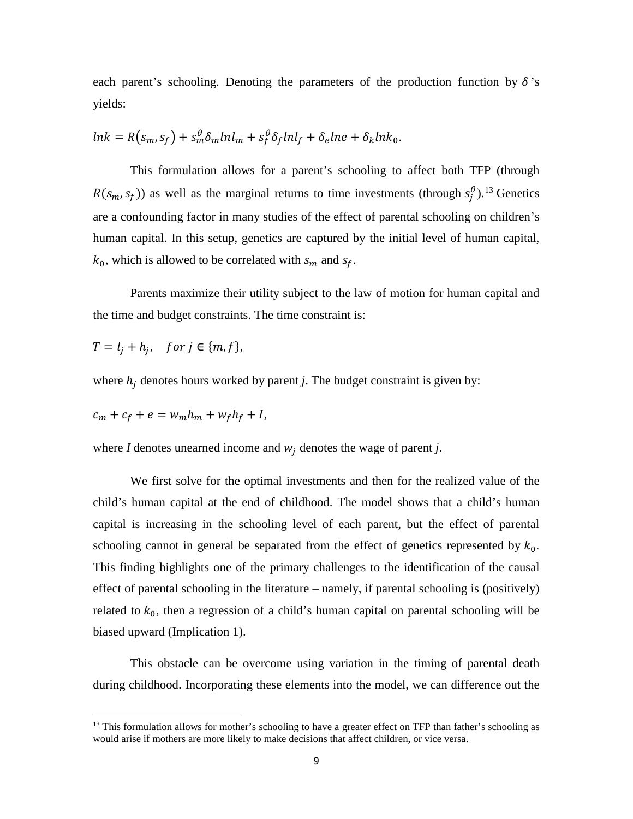each parent's schooling. Denoting the parameters of the production function by  $\delta$ 's yields:

$$
ln k = R(s_m, s_f) + s_m^{\theta} \delta_m ln l_m + s_f^{\theta} \delta_f ln l_f + \delta_e ln e + \delta_k ln k_0.
$$

This formulation allows for a parent's schooling to affect both TFP (through  $R(s_m, s_f)$  as well as the marginal returns to time investments (through  $s_j^{\theta}$ ).<sup>[13](#page-10-0)</sup> Genetics are a confounding factor in many studies of the effect of parental schooling on children's human capital. In this setup, genetics are captured by the initial level of human capital,  $k_0$ , which is allowed to be correlated with  $s_m$  and  $s_f$ .

Parents maximize their utility subject to the law of motion for human capital and the time and budget constraints. The time constraint is:

$$
T = l_j + h_j, \quad \text{for } j \in \{m, f\},
$$

where  $h_i$  denotes hours worked by parent *j*. The budget constraint is given by:

$$
c_m + c_f + e = w_m h_m + w_f h_f + I,
$$

l

where *I* denotes unearned income and  $w_i$  denotes the wage of parent *j*.

We first solve for the optimal investments and then for the realized value of the child's human capital at the end of childhood. The model shows that a child's human capital is increasing in the schooling level of each parent, but the effect of parental schooling cannot in general be separated from the effect of genetics represented by  $k_0$ . This finding highlights one of the primary challenges to the identification of the causal effect of parental schooling in the literature – namely, if parental schooling is (positively) related to  $k_0$ , then a regression of a child's human capital on parental schooling will be biased upward (Implication 1).

This obstacle can be overcome using variation in the timing of parental death during childhood. Incorporating these elements into the model, we can difference out the

<span id="page-10-0"></span><sup>&</sup>lt;sup>13</sup> This formulation allows for mother's schooling to have a greater effect on TFP than father's schooling as would arise if mothers are more likely to make decisions that affect children, or vice versa.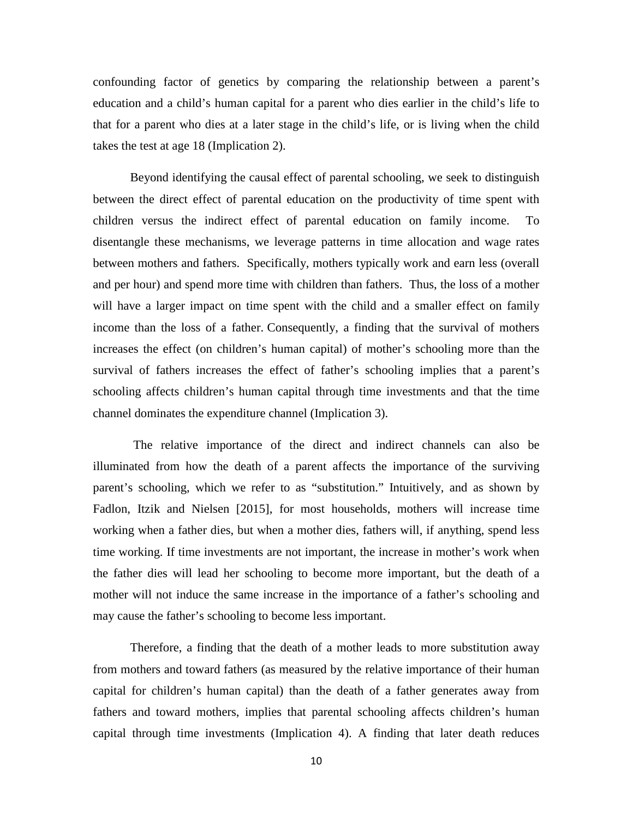confounding factor of genetics by comparing the relationship between a parent's education and a child's human capital for a parent who dies earlier in the child's life to that for a parent who dies at a later stage in the child's life, or is living when the child takes the test at age 18 (Implication 2).

Beyond identifying the causal effect of parental schooling, we seek to distinguish between the direct effect of parental education on the productivity of time spent with children versus the indirect effect of parental education on family income. To disentangle these mechanisms, we leverage patterns in time allocation and wage rates between mothers and fathers. Specifically, mothers typically work and earn less (overall and per hour) and spend more time with children than fathers. Thus, the loss of a mother will have a larger impact on time spent with the child and a smaller effect on family income than the loss of a father. Consequently, a finding that the survival of mothers increases the effect (on children's human capital) of mother's schooling more than the survival of fathers increases the effect of father's schooling implies that a parent's schooling affects children's human capital through time investments and that the time channel dominates the expenditure channel (Implication 3).

The relative importance of the direct and indirect channels can also be illuminated from how the death of a parent affects the importance of the surviving parent's schooling, which we refer to as "substitution." Intuitively, and as shown by Fadlon, Itzik and Nielsen [2015], for most households, mothers will increase time working when a father dies, but when a mother dies, fathers will, if anything, spend less time working. If time investments are not important, the increase in mother's work when the father dies will lead her schooling to become more important, but the death of a mother will not induce the same increase in the importance of a father's schooling and may cause the father's schooling to become less important.

Therefore, a finding that the death of a mother leads to more substitution away from mothers and toward fathers (as measured by the relative importance of their human capital for children's human capital) than the death of a father generates away from fathers and toward mothers, implies that parental schooling affects children's human capital through time investments (Implication 4). A finding that later death reduces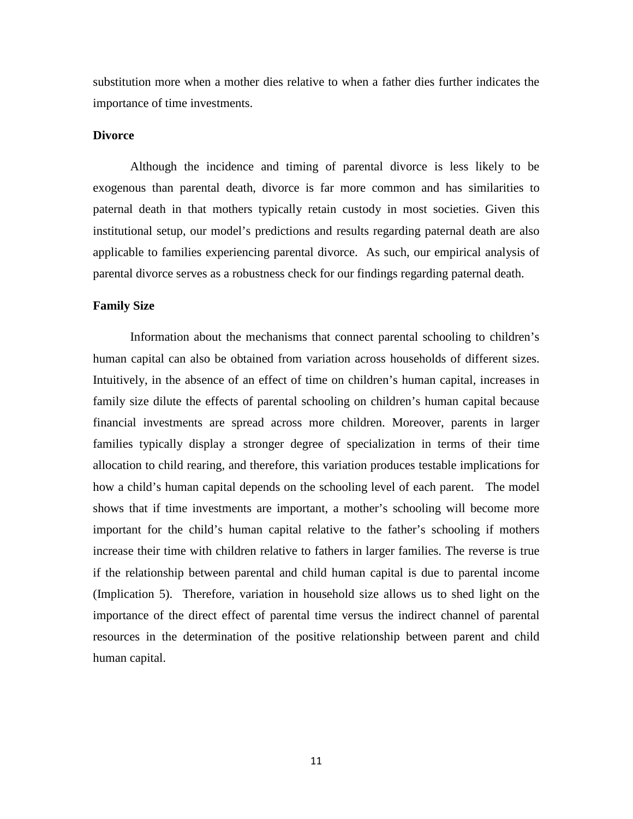substitution more when a mother dies relative to when a father dies further indicates the importance of time investments.

### **Divorce**

Although the incidence and timing of parental divorce is less likely to be exogenous than parental death, divorce is far more common and has similarities to paternal death in that mothers typically retain custody in most societies. Given this institutional setup, our model's predictions and results regarding paternal death are also applicable to families experiencing parental divorce. As such, our empirical analysis of parental divorce serves as a robustness check for our findings regarding paternal death.

#### **Family Size**

Information about the mechanisms that connect parental schooling to children's human capital can also be obtained from variation across households of different sizes. Intuitively, in the absence of an effect of time on children's human capital, increases in family size dilute the effects of parental schooling on children's human capital because financial investments are spread across more children. Moreover, parents in larger families typically display a stronger degree of specialization in terms of their time allocation to child rearing, and therefore, this variation produces testable implications for how a child's human capital depends on the schooling level of each parent. The model shows that if time investments are important, a mother's schooling will become more important for the child's human capital relative to the father's schooling if mothers increase their time with children relative to fathers in larger families. The reverse is true if the relationship between parental and child human capital is due to parental income (Implication 5). Therefore, variation in household size allows us to shed light on the importance of the direct effect of parental time versus the indirect channel of parental resources in the determination of the positive relationship between parent and child human capital.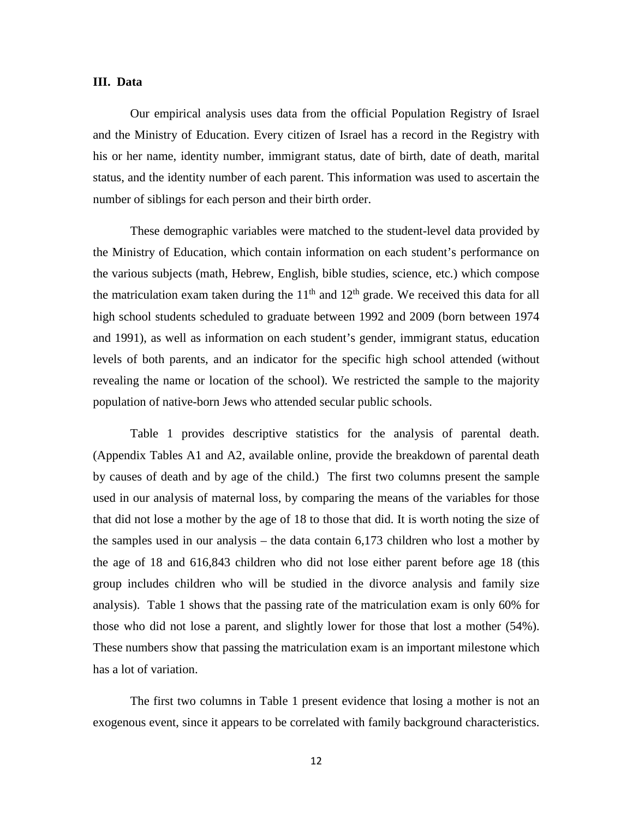## **III. Data**

Our empirical analysis uses data from the official Population Registry of Israel and the Ministry of Education. Every citizen of Israel has a record in the Registry with his or her name, identity number, immigrant status, date of birth, date of death, marital status, and the identity number of each parent. This information was used to ascertain the number of siblings for each person and their birth order.

These demographic variables were matched to the student-level data provided by the Ministry of Education, which contain information on each student's performance on the various subjects (math, Hebrew, English, bible studies, science, etc.) which compose the matriculation exam taken during the  $11<sup>th</sup>$  and  $12<sup>th</sup>$  grade. We received this data for all high school students scheduled to graduate between 1992 and 2009 (born between 1974 and 1991), as well as information on each student's gender, immigrant status, education levels of both parents, and an indicator for the specific high school attended (without revealing the name or location of the school). We restricted the sample to the majority population of native-born Jews who attended secular public schools.

Table 1 provides descriptive statistics for the analysis of parental death. (Appendix Tables A1 and A2, available online, provide the breakdown of parental death by causes of death and by age of the child.) The first two columns present the sample used in our analysis of maternal loss, by comparing the means of the variables for those that did not lose a mother by the age of 18 to those that did. It is worth noting the size of the samples used in our analysis – the data contain 6,173 children who lost a mother by the age of 18 and 616,843 children who did not lose either parent before age 18 (this group includes children who will be studied in the divorce analysis and family size analysis). Table 1 shows that the passing rate of the matriculation exam is only 60% for those who did not lose a parent, and slightly lower for those that lost a mother (54%). These numbers show that passing the matriculation exam is an important milestone which has a lot of variation.

The first two columns in Table 1 present evidence that losing a mother is not an exogenous event, since it appears to be correlated with family background characteristics.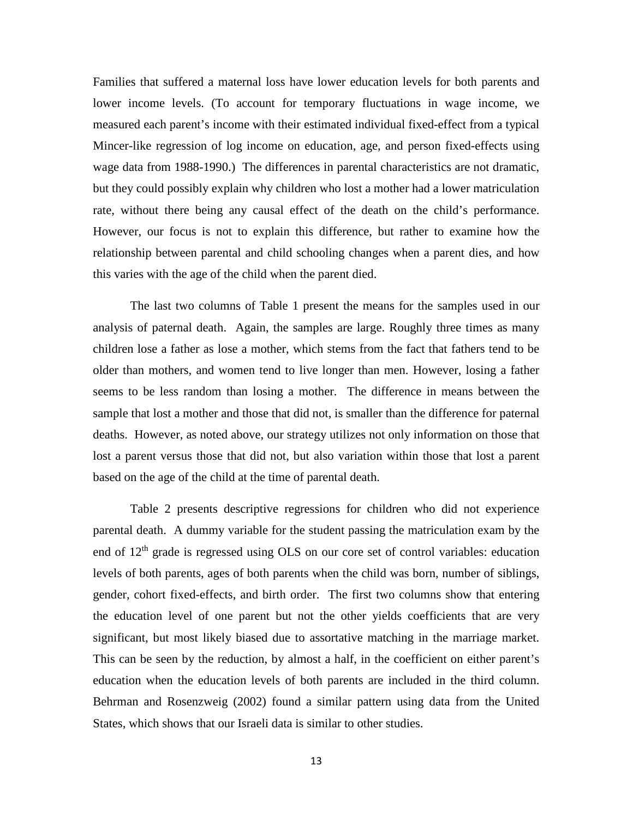Families that suffered a maternal loss have lower education levels for both parents and lower income levels. (To account for temporary fluctuations in wage income, we measured each parent's income with their estimated individual fixed-effect from a typical Mincer-like regression of log income on education, age, and person fixed-effects using wage data from 1988-1990.) The differences in parental characteristics are not dramatic, but they could possibly explain why children who lost a mother had a lower matriculation rate, without there being any causal effect of the death on the child's performance. However, our focus is not to explain this difference, but rather to examine how the relationship between parental and child schooling changes when a parent dies, and how this varies with the age of the child when the parent died.

The last two columns of Table 1 present the means for the samples used in our analysis of paternal death. Again, the samples are large. Roughly three times as many children lose a father as lose a mother, which stems from the fact that fathers tend to be older than mothers, and women tend to live longer than men. However, losing a father seems to be less random than losing a mother. The difference in means between the sample that lost a mother and those that did not, is smaller than the difference for paternal deaths. However, as noted above, our strategy utilizes not only information on those that lost a parent versus those that did not, but also variation within those that lost a parent based on the age of the child at the time of parental death.

Table 2 presents descriptive regressions for children who did not experience parental death. A dummy variable for the student passing the matriculation exam by the end of  $12<sup>th</sup>$  grade is regressed using OLS on our core set of control variables: education levels of both parents, ages of both parents when the child was born, number of siblings, gender, cohort fixed-effects, and birth order. The first two columns show that entering the education level of one parent but not the other yields coefficients that are very significant, but most likely biased due to assortative matching in the marriage market. This can be seen by the reduction, by almost a half, in the coefficient on either parent's education when the education levels of both parents are included in the third column. Behrman and Rosenzweig (2002) found a similar pattern using data from the United States, which shows that our Israeli data is similar to other studies.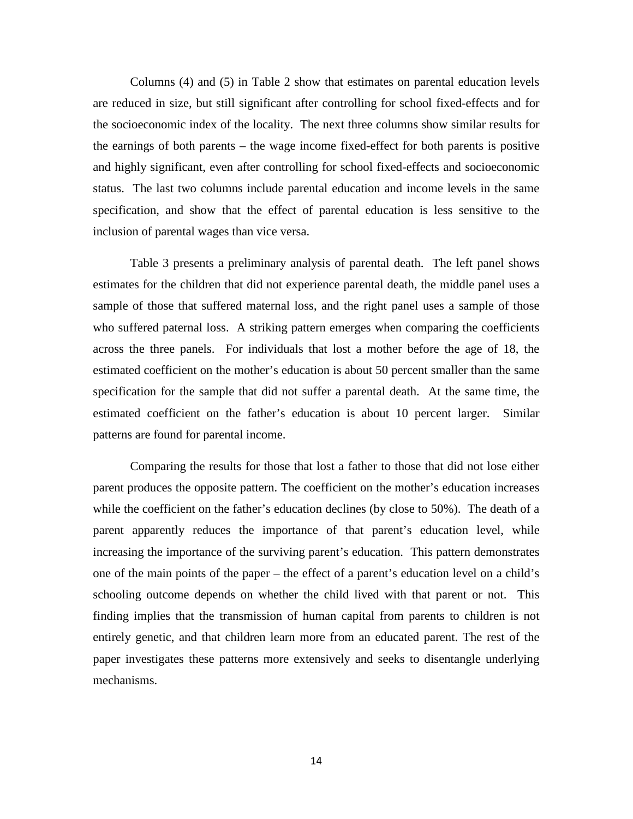Columns (4) and (5) in Table 2 show that estimates on parental education levels are reduced in size, but still significant after controlling for school fixed-effects and for the socioeconomic index of the locality. The next three columns show similar results for the earnings of both parents – the wage income fixed-effect for both parents is positive and highly significant, even after controlling for school fixed-effects and socioeconomic status. The last two columns include parental education and income levels in the same specification, and show that the effect of parental education is less sensitive to the inclusion of parental wages than vice versa.

Table 3 presents a preliminary analysis of parental death. The left panel shows estimates for the children that did not experience parental death, the middle panel uses a sample of those that suffered maternal loss, and the right panel uses a sample of those who suffered paternal loss. A striking pattern emerges when comparing the coefficients across the three panels. For individuals that lost a mother before the age of 18, the estimated coefficient on the mother's education is about 50 percent smaller than the same specification for the sample that did not suffer a parental death. At the same time, the estimated coefficient on the father's education is about 10 percent larger. Similar patterns are found for parental income.

Comparing the results for those that lost a father to those that did not lose either parent produces the opposite pattern. The coefficient on the mother's education increases while the coefficient on the father's education declines (by close to 50%). The death of a parent apparently reduces the importance of that parent's education level, while increasing the importance of the surviving parent's education. This pattern demonstrates one of the main points of the paper – the effect of a parent's education level on a child's schooling outcome depends on whether the child lived with that parent or not. This finding implies that the transmission of human capital from parents to children is not entirely genetic, and that children learn more from an educated parent. The rest of the paper investigates these patterns more extensively and seeks to disentangle underlying mechanisms.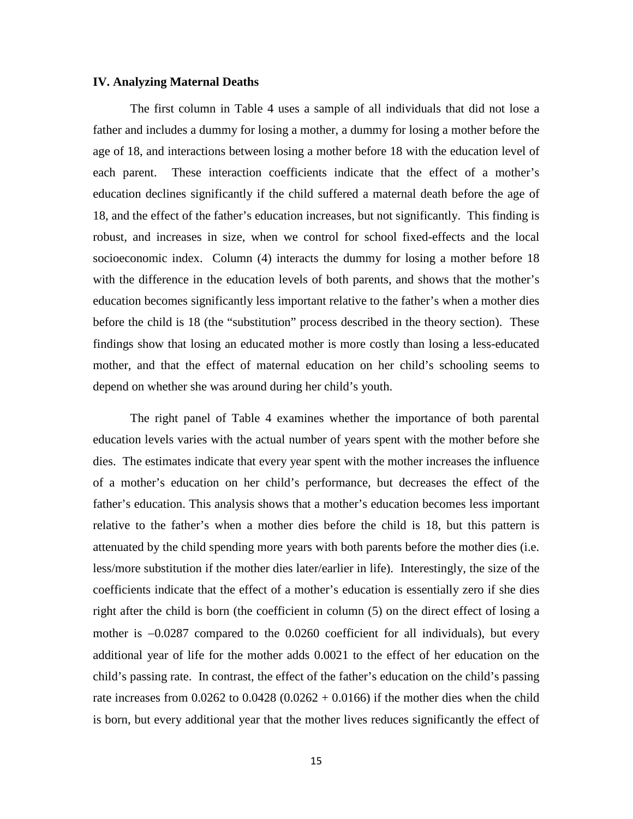#### **IV. Analyzing Maternal Deaths**

The first column in Table 4 uses a sample of all individuals that did not lose a father and includes a dummy for losing a mother, a dummy for losing a mother before the age of 18, and interactions between losing a mother before 18 with the education level of each parent. These interaction coefficients indicate that the effect of a mother's education declines significantly if the child suffered a maternal death before the age of 18, and the effect of the father's education increases, but not significantly. This finding is robust, and increases in size, when we control for school fixed-effects and the local socioeconomic index. Column (4) interacts the dummy for losing a mother before 18 with the difference in the education levels of both parents, and shows that the mother's education becomes significantly less important relative to the father's when a mother dies before the child is 18 (the "substitution" process described in the theory section). These findings show that losing an educated mother is more costly than losing a less-educated mother, and that the effect of maternal education on her child's schooling seems to depend on whether she was around during her child's youth.

The right panel of Table 4 examines whether the importance of both parental education levels varies with the actual number of years spent with the mother before she dies. The estimates indicate that every year spent with the mother increases the influence of a mother's education on her child's performance, but decreases the effect of the father's education. This analysis shows that a mother's education becomes less important relative to the father's when a mother dies before the child is 18, but this pattern is attenuated by the child spending more years with both parents before the mother dies (i.e. less/more substitution if the mother dies later/earlier in life). Interestingly, the size of the coefficients indicate that the effect of a mother's education is essentially zero if she dies right after the child is born (the coefficient in column (5) on the direct effect of losing a mother is −0.0287 compared to the 0.0260 coefficient for all individuals), but every additional year of life for the mother adds 0.0021 to the effect of her education on the child's passing rate. In contrast, the effect of the father's education on the child's passing rate increases from  $0.0262$  to  $0.0428$  ( $0.0262 + 0.0166$ ) if the mother dies when the child is born, but every additional year that the mother lives reduces significantly the effect of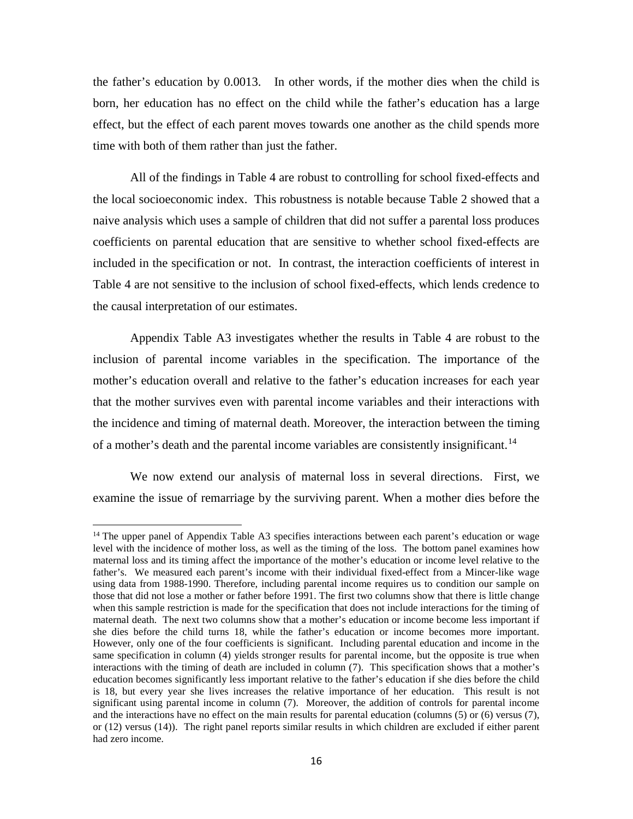the father's education by 0.0013. In other words, if the mother dies when the child is born, her education has no effect on the child while the father's education has a large effect, but the effect of each parent moves towards one another as the child spends more time with both of them rather than just the father.

All of the findings in Table 4 are robust to controlling for school fixed-effects and the local socioeconomic index. This robustness is notable because Table 2 showed that a naive analysis which uses a sample of children that did not suffer a parental loss produces coefficients on parental education that are sensitive to whether school fixed-effects are included in the specification or not. In contrast, the interaction coefficients of interest in Table 4 are not sensitive to the inclusion of school fixed-effects, which lends credence to the causal interpretation of our estimates.

Appendix Table A3 investigates whether the results in Table 4 are robust to the inclusion of parental income variables in the specification. The importance of the mother's education overall and relative to the father's education increases for each year that the mother survives even with parental income variables and their interactions with the incidence and timing of maternal death. Moreover, the interaction between the timing of a mother's death and the parental income variables are consistently insignificant.<sup>14</sup>

We now extend our analysis of maternal loss in several directions. First, we examine the issue of remarriage by the surviving parent. When a mother dies before the

 $\overline{a}$ 

<span id="page-17-0"></span><sup>&</sup>lt;sup>14</sup> The upper panel of Appendix Table A3 specifies interactions between each parent's education or wage level with the incidence of mother loss, as well as the timing of the loss. The bottom panel examines how maternal loss and its timing affect the importance of the mother's education or income level relative to the father's. We measured each parent's income with their individual fixed-effect from a Mincer-like wage using data from 1988-1990. Therefore, including parental income requires us to condition our sample on those that did not lose a mother or father before 1991. The first two columns show that there is little change when this sample restriction is made for the specification that does not include interactions for the timing of maternal death. The next two columns show that a mother's education or income become less important if she dies before the child turns 18, while the father's education or income becomes more important. However, only one of the four coefficients is significant. Including parental education and income in the same specification in column (4) yields stronger results for parental income, but the opposite is true when interactions with the timing of death are included in column (7). This specification shows that a mother's education becomes significantly less important relative to the father's education if she dies before the child is 18, but every year she lives increases the relative importance of her education. This result is not significant using parental income in column (7). Moreover, the addition of controls for parental income and the interactions have no effect on the main results for parental education (columns (5) or (6) versus (7), or (12) versus (14)). The right panel reports similar results in which children are excluded if either parent had zero income.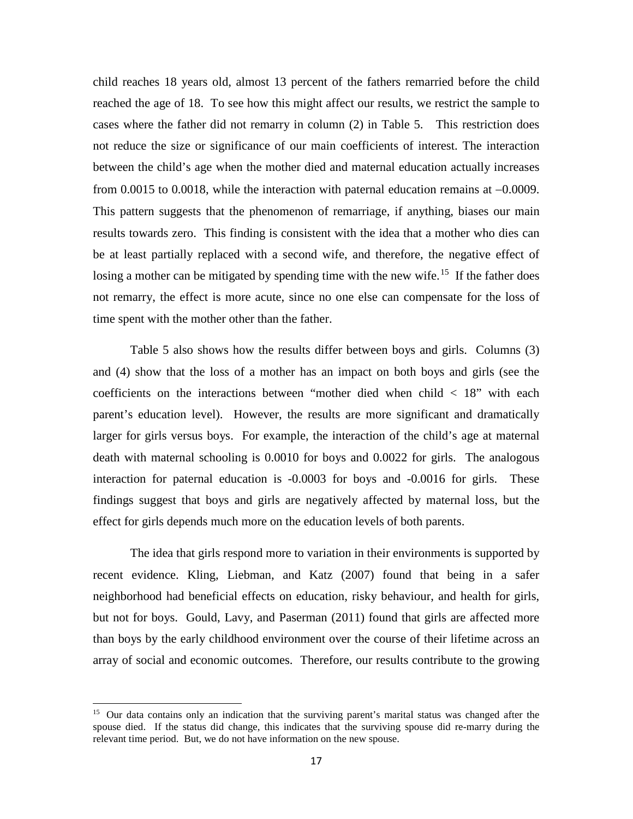child reaches 18 years old, almost 13 percent of the fathers remarried before the child reached the age of 18. To see how this might affect our results, we restrict the sample to cases where the father did not remarry in column (2) in Table 5. This restriction does not reduce the size or significance of our main coefficients of interest. The interaction between the child's age when the mother died and maternal education actually increases from 0.0015 to 0.0018, while the interaction with paternal education remains at −0.0009. This pattern suggests that the phenomenon of remarriage, if anything, biases our main results towards zero. This finding is consistent with the idea that a mother who dies can be at least partially replaced with a second wife, and therefore, the negative effect of losing a mother can be mitigated by spending time with the new wife.<sup>[15](#page-18-0)</sup> If the father does not remarry, the effect is more acute, since no one else can compensate for the loss of time spent with the mother other than the father.

Table 5 also shows how the results differ between boys and girls. Columns (3) and (4) show that the loss of a mother has an impact on both boys and girls (see the coefficients on the interactions between "mother died when child < 18" with each parent's education level). However, the results are more significant and dramatically larger for girls versus boys. For example, the interaction of the child's age at maternal death with maternal schooling is 0.0010 for boys and 0.0022 for girls. The analogous interaction for paternal education is -0.0003 for boys and -0.0016 for girls. These findings suggest that boys and girls are negatively affected by maternal loss, but the effect for girls depends much more on the education levels of both parents.

The idea that girls respond more to variation in their environments is supported by recent evidence. Kling, Liebman, and Katz (2007) found that being in a safer neighborhood had beneficial effects on education, risky behaviour, and health for girls, but not for boys. Gould, Lavy, and Paserman (2011) found that girls are affected more than boys by the early childhood environment over the course of their lifetime across an array of social and economic outcomes. Therefore, our results contribute to the growing

l

<span id="page-18-0"></span><sup>&</sup>lt;sup>15</sup> Our data contains only an indication that the surviving parent's marital status was changed after the spouse died. If the status did change, this indicates that the surviving spouse did re-marry during the relevant time period. But, we do not have information on the new spouse.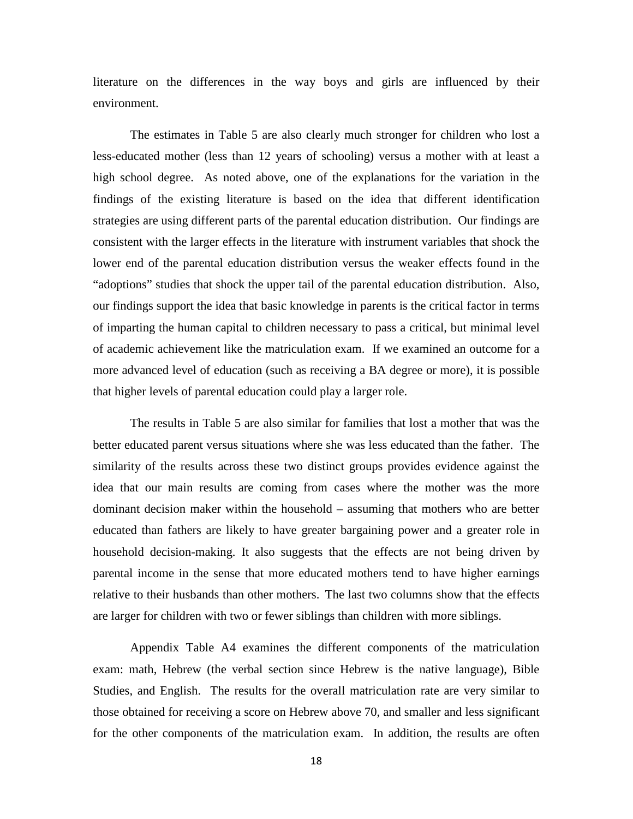literature on the differences in the way boys and girls are influenced by their environment.

The estimates in Table 5 are also clearly much stronger for children who lost a less-educated mother (less than 12 years of schooling) versus a mother with at least a high school degree. As noted above, one of the explanations for the variation in the findings of the existing literature is based on the idea that different identification strategies are using different parts of the parental education distribution. Our findings are consistent with the larger effects in the literature with instrument variables that shock the lower end of the parental education distribution versus the weaker effects found in the "adoptions" studies that shock the upper tail of the parental education distribution. Also, our findings support the idea that basic knowledge in parents is the critical factor in terms of imparting the human capital to children necessary to pass a critical, but minimal level of academic achievement like the matriculation exam. If we examined an outcome for a more advanced level of education (such as receiving a BA degree or more), it is possible that higher levels of parental education could play a larger role.

The results in Table 5 are also similar for families that lost a mother that was the better educated parent versus situations where she was less educated than the father. The similarity of the results across these two distinct groups provides evidence against the idea that our main results are coming from cases where the mother was the more dominant decision maker within the household – assuming that mothers who are better educated than fathers are likely to have greater bargaining power and a greater role in household decision-making. It also suggests that the effects are not being driven by parental income in the sense that more educated mothers tend to have higher earnings relative to their husbands than other mothers. The last two columns show that the effects are larger for children with two or fewer siblings than children with more siblings.

Appendix Table A4 examines the different components of the matriculation exam: math, Hebrew (the verbal section since Hebrew is the native language), Bible Studies, and English. The results for the overall matriculation rate are very similar to those obtained for receiving a score on Hebrew above 70, and smaller and less significant for the other components of the matriculation exam. In addition, the results are often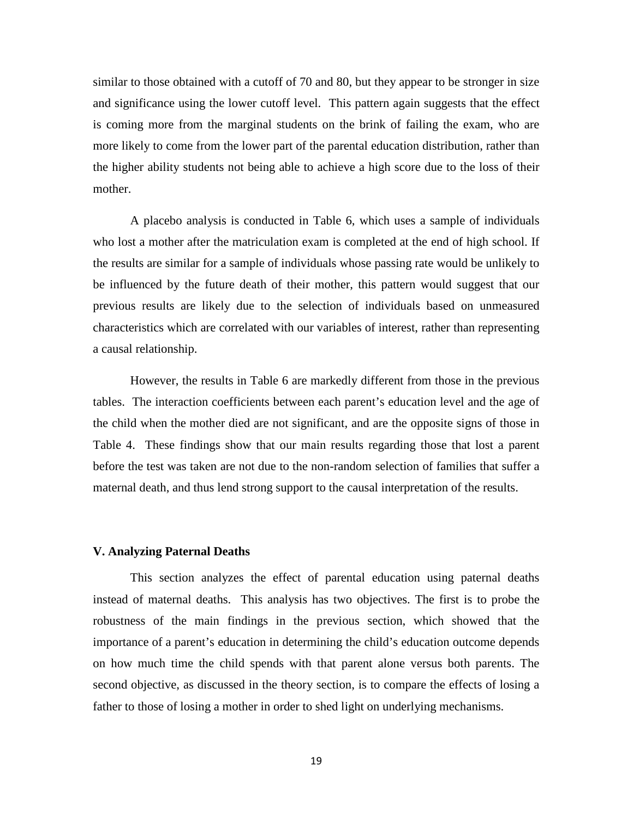similar to those obtained with a cutoff of 70 and 80, but they appear to be stronger in size and significance using the lower cutoff level. This pattern again suggests that the effect is coming more from the marginal students on the brink of failing the exam, who are more likely to come from the lower part of the parental education distribution, rather than the higher ability students not being able to achieve a high score due to the loss of their mother.

A placebo analysis is conducted in Table 6, which uses a sample of individuals who lost a mother after the matriculation exam is completed at the end of high school. If the results are similar for a sample of individuals whose passing rate would be unlikely to be influenced by the future death of their mother, this pattern would suggest that our previous results are likely due to the selection of individuals based on unmeasured characteristics which are correlated with our variables of interest, rather than representing a causal relationship.

However, the results in Table 6 are markedly different from those in the previous tables. The interaction coefficients between each parent's education level and the age of the child when the mother died are not significant, and are the opposite signs of those in Table 4. These findings show that our main results regarding those that lost a parent before the test was taken are not due to the non-random selection of families that suffer a maternal death, and thus lend strong support to the causal interpretation of the results.

#### **V. Analyzing Paternal Deaths**

This section analyzes the effect of parental education using paternal deaths instead of maternal deaths. This analysis has two objectives. The first is to probe the robustness of the main findings in the previous section, which showed that the importance of a parent's education in determining the child's education outcome depends on how much time the child spends with that parent alone versus both parents. The second objective, as discussed in the theory section, is to compare the effects of losing a father to those of losing a mother in order to shed light on underlying mechanisms.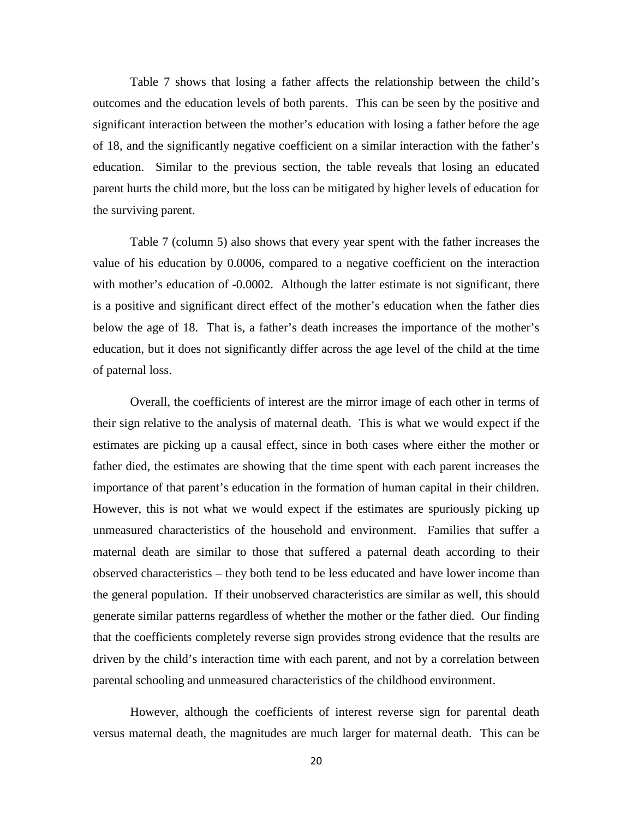Table 7 shows that losing a father affects the relationship between the child's outcomes and the education levels of both parents. This can be seen by the positive and significant interaction between the mother's education with losing a father before the age of 18, and the significantly negative coefficient on a similar interaction with the father's education. Similar to the previous section, the table reveals that losing an educated parent hurts the child more, but the loss can be mitigated by higher levels of education for the surviving parent.

Table 7 (column 5) also shows that every year spent with the father increases the value of his education by 0.0006, compared to a negative coefficient on the interaction with mother's education of -0.0002. Although the latter estimate is not significant, there is a positive and significant direct effect of the mother's education when the father dies below the age of 18. That is, a father's death increases the importance of the mother's education, but it does not significantly differ across the age level of the child at the time of paternal loss.

Overall, the coefficients of interest are the mirror image of each other in terms of their sign relative to the analysis of maternal death. This is what we would expect if the estimates are picking up a causal effect, since in both cases where either the mother or father died, the estimates are showing that the time spent with each parent increases the importance of that parent's education in the formation of human capital in their children. However, this is not what we would expect if the estimates are spuriously picking up unmeasured characteristics of the household and environment. Families that suffer a maternal death are similar to those that suffered a paternal death according to their observed characteristics – they both tend to be less educated and have lower income than the general population. If their unobserved characteristics are similar as well, this should generate similar patterns regardless of whether the mother or the father died. Our finding that the coefficients completely reverse sign provides strong evidence that the results are driven by the child's interaction time with each parent, and not by a correlation between parental schooling and unmeasured characteristics of the childhood environment.

However, although the coefficients of interest reverse sign for parental death versus maternal death, the magnitudes are much larger for maternal death. This can be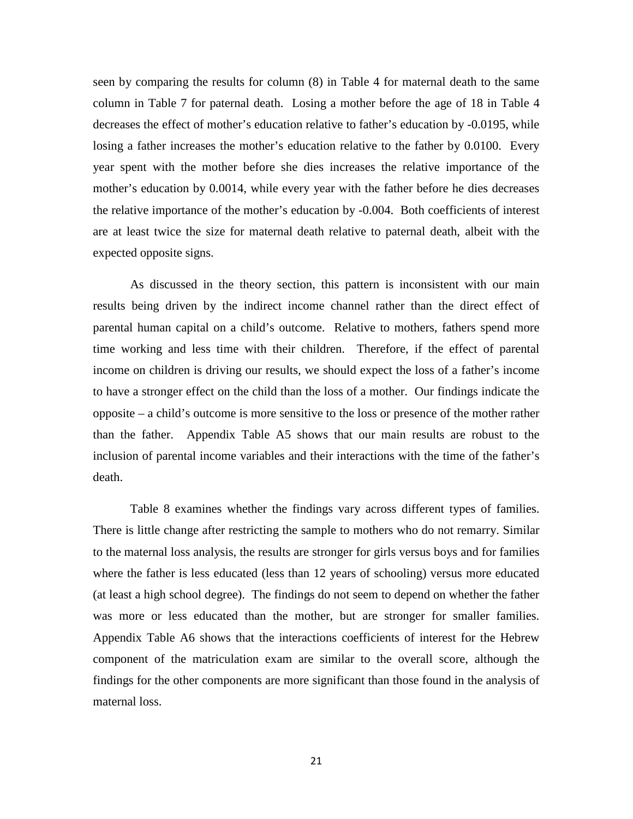seen by comparing the results for column (8) in Table 4 for maternal death to the same column in Table 7 for paternal death. Losing a mother before the age of 18 in Table 4 decreases the effect of mother's education relative to father's education by -0.0195, while losing a father increases the mother's education relative to the father by 0.0100. Every year spent with the mother before she dies increases the relative importance of the mother's education by 0.0014, while every year with the father before he dies decreases the relative importance of the mother's education by -0.004. Both coefficients of interest are at least twice the size for maternal death relative to paternal death, albeit with the expected opposite signs.

As discussed in the theory section, this pattern is inconsistent with our main results being driven by the indirect income channel rather than the direct effect of parental human capital on a child's outcome. Relative to mothers, fathers spend more time working and less time with their children. Therefore, if the effect of parental income on children is driving our results, we should expect the loss of a father's income to have a stronger effect on the child than the loss of a mother. Our findings indicate the opposite – a child's outcome is more sensitive to the loss or presence of the mother rather than the father. Appendix Table A5 shows that our main results are robust to the inclusion of parental income variables and their interactions with the time of the father's death.

Table 8 examines whether the findings vary across different types of families. There is little change after restricting the sample to mothers who do not remarry. Similar to the maternal loss analysis, the results are stronger for girls versus boys and for families where the father is less educated (less than 12 years of schooling) versus more educated (at least a high school degree). The findings do not seem to depend on whether the father was more or less educated than the mother, but are stronger for smaller families. Appendix Table A6 shows that the interactions coefficients of interest for the Hebrew component of the matriculation exam are similar to the overall score, although the findings for the other components are more significant than those found in the analysis of maternal loss.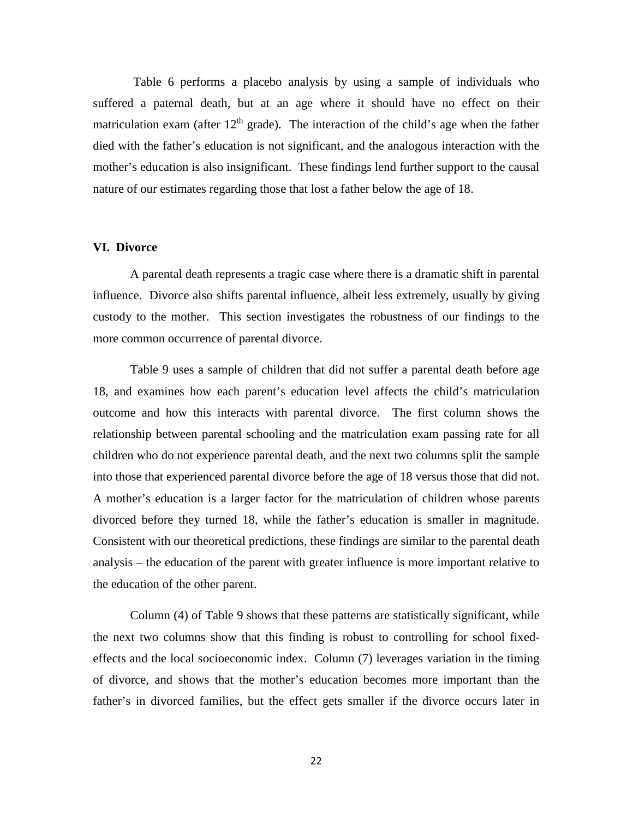Table 6 performs a placebo analysis by using a sample of individuals who suffered a paternal death, but at an age where it should have no effect on their matriculation exam (after  $12<sup>th</sup>$  grade). The interaction of the child's age when the father died with the father's education is not significant, and the analogous interaction with the mother's education is also insignificant. These findings lend further support to the causal nature of our estimates regarding those that lost a father below the age of 18.

### **VI. Divorce**

A parental death represents a tragic case where there is a dramatic shift in parental influence. Divorce also shifts parental influence, albeit less extremely, usually by giving custody to the mother. This section investigates the robustness of our findings to the more common occurrence of parental divorce.

Table 9 uses a sample of children that did not suffer a parental death before age 18, and examines how each parent's education level affects the child's matriculation outcome and how this interacts with parental divorce. The first column shows the relationship between parental schooling and the matriculation exam passing rate for all children who do not experience parental death, and the next two columns split the sample into those that experienced parental divorce before the age of 18 versus those that did not. A mother's education is a larger factor for the matriculation of children whose parents divorced before they turned 18, while the father's education is smaller in magnitude. Consistent with our theoretical predictions, these findings are similar to the parental death analysis – the education of the parent with greater influence is more important relative to the education of the other parent.

Column (4) of Table 9 shows that these patterns are statistically significant, while the next two columns show that this finding is robust to controlling for school fixedeffects and the local socioeconomic index. Column (7) leverages variation in the timing of divorce, and shows that the mother's education becomes more important than the father's in divorced families, but the effect gets smaller if the divorce occurs later in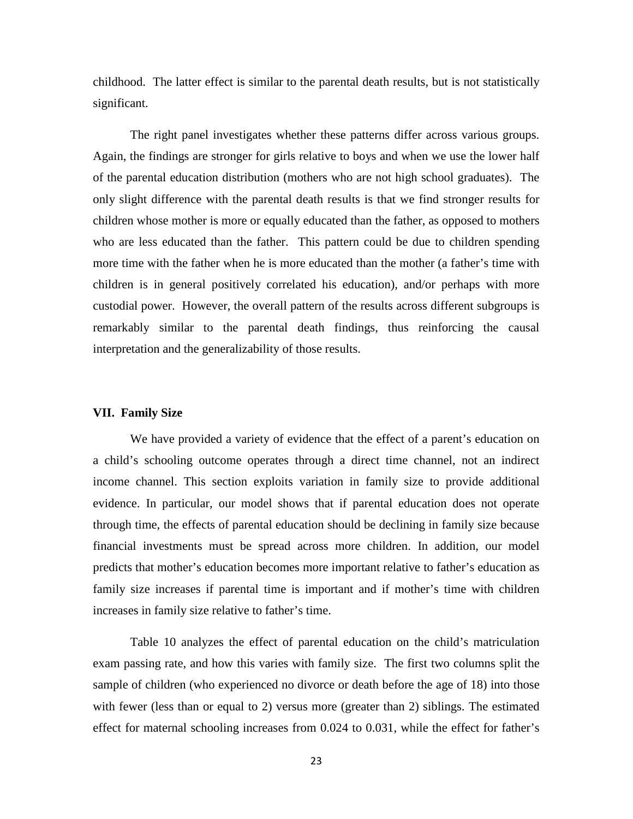childhood. The latter effect is similar to the parental death results, but is not statistically significant.

The right panel investigates whether these patterns differ across various groups. Again, the findings are stronger for girls relative to boys and when we use the lower half of the parental education distribution (mothers who are not high school graduates). The only slight difference with the parental death results is that we find stronger results for children whose mother is more or equally educated than the father, as opposed to mothers who are less educated than the father. This pattern could be due to children spending more time with the father when he is more educated than the mother (a father's time with children is in general positively correlated his education), and/or perhaps with more custodial power. However, the overall pattern of the results across different subgroups is remarkably similar to the parental death findings, thus reinforcing the causal interpretation and the generalizability of those results.

#### **VII. Family Size**

We have provided a variety of evidence that the effect of a parent's education on a child's schooling outcome operates through a direct time channel, not an indirect income channel. This section exploits variation in family size to provide additional evidence. In particular, our model shows that if parental education does not operate through time, the effects of parental education should be declining in family size because financial investments must be spread across more children. In addition, our model predicts that mother's education becomes more important relative to father's education as family size increases if parental time is important and if mother's time with children increases in family size relative to father's time.

Table 10 analyzes the effect of parental education on the child's matriculation exam passing rate, and how this varies with family size. The first two columns split the sample of children (who experienced no divorce or death before the age of 18) into those with fewer (less than or equal to 2) versus more (greater than 2) siblings. The estimated effect for maternal schooling increases from 0.024 to 0.031, while the effect for father's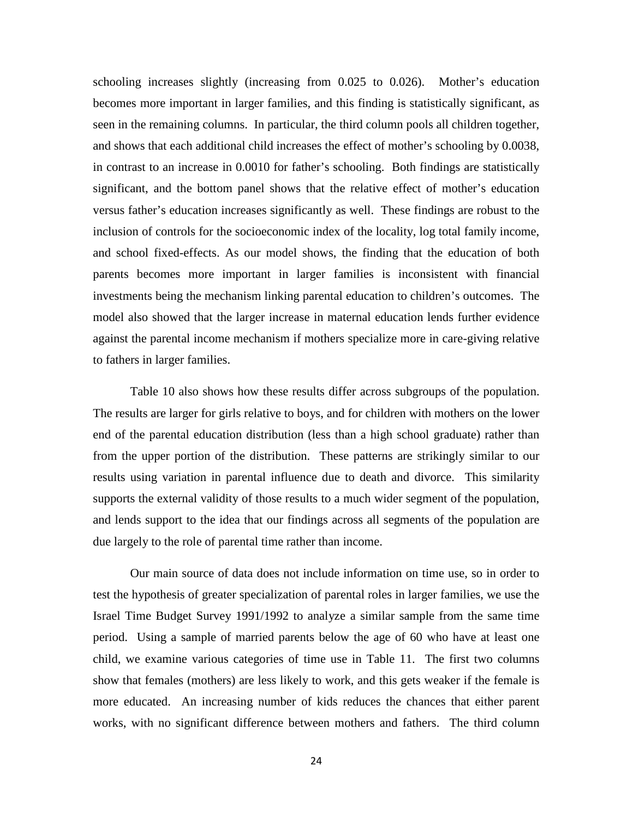schooling increases slightly (increasing from 0.025 to 0.026). Mother's education becomes more important in larger families, and this finding is statistically significant, as seen in the remaining columns. In particular, the third column pools all children together, and shows that each additional child increases the effect of mother's schooling by 0.0038, in contrast to an increase in 0.0010 for father's schooling. Both findings are statistically significant, and the bottom panel shows that the relative effect of mother's education versus father's education increases significantly as well. These findings are robust to the inclusion of controls for the socioeconomic index of the locality, log total family income, and school fixed-effects. As our model shows, the finding that the education of both parents becomes more important in larger families is inconsistent with financial investments being the mechanism linking parental education to children's outcomes. The model also showed that the larger increase in maternal education lends further evidence against the parental income mechanism if mothers specialize more in care-giving relative to fathers in larger families.

Table 10 also shows how these results differ across subgroups of the population. The results are larger for girls relative to boys, and for children with mothers on the lower end of the parental education distribution (less than a high school graduate) rather than from the upper portion of the distribution. These patterns are strikingly similar to our results using variation in parental influence due to death and divorce. This similarity supports the external validity of those results to a much wider segment of the population, and lends support to the idea that our findings across all segments of the population are due largely to the role of parental time rather than income.

Our main source of data does not include information on time use, so in order to test the hypothesis of greater specialization of parental roles in larger families, we use the Israel Time Budget Survey 1991/1992 to analyze a similar sample from the same time period. Using a sample of married parents below the age of 60 who have at least one child, we examine various categories of time use in Table 11. The first two columns show that females (mothers) are less likely to work, and this gets weaker if the female is more educated. An increasing number of kids reduces the chances that either parent works, with no significant difference between mothers and fathers. The third column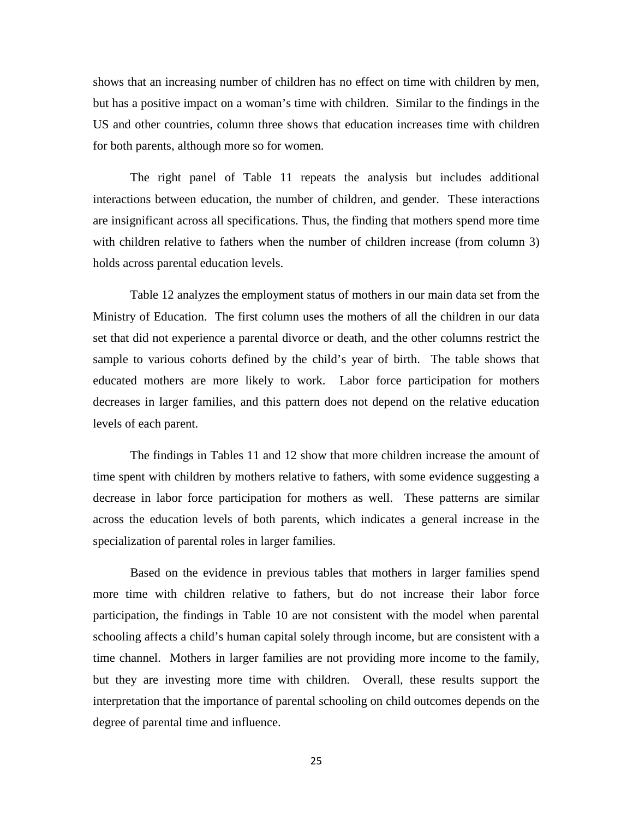shows that an increasing number of children has no effect on time with children by men, but has a positive impact on a woman's time with children. Similar to the findings in the US and other countries, column three shows that education increases time with children for both parents, although more so for women.

The right panel of Table 11 repeats the analysis but includes additional interactions between education, the number of children, and gender. These interactions are insignificant across all specifications. Thus, the finding that mothers spend more time with children relative to fathers when the number of children increase (from column 3) holds across parental education levels.

Table 12 analyzes the employment status of mothers in our main data set from the Ministry of Education. The first column uses the mothers of all the children in our data set that did not experience a parental divorce or death, and the other columns restrict the sample to various cohorts defined by the child's year of birth. The table shows that educated mothers are more likely to work. Labor force participation for mothers decreases in larger families, and this pattern does not depend on the relative education levels of each parent.

The findings in Tables 11 and 12 show that more children increase the amount of time spent with children by mothers relative to fathers, with some evidence suggesting a decrease in labor force participation for mothers as well. These patterns are similar across the education levels of both parents, which indicates a general increase in the specialization of parental roles in larger families.

Based on the evidence in previous tables that mothers in larger families spend more time with children relative to fathers, but do not increase their labor force participation, the findings in Table 10 are not consistent with the model when parental schooling affects a child's human capital solely through income, but are consistent with a time channel. Mothers in larger families are not providing more income to the family, but they are investing more time with children. Overall, these results support the interpretation that the importance of parental schooling on child outcomes depends on the degree of parental time and influence.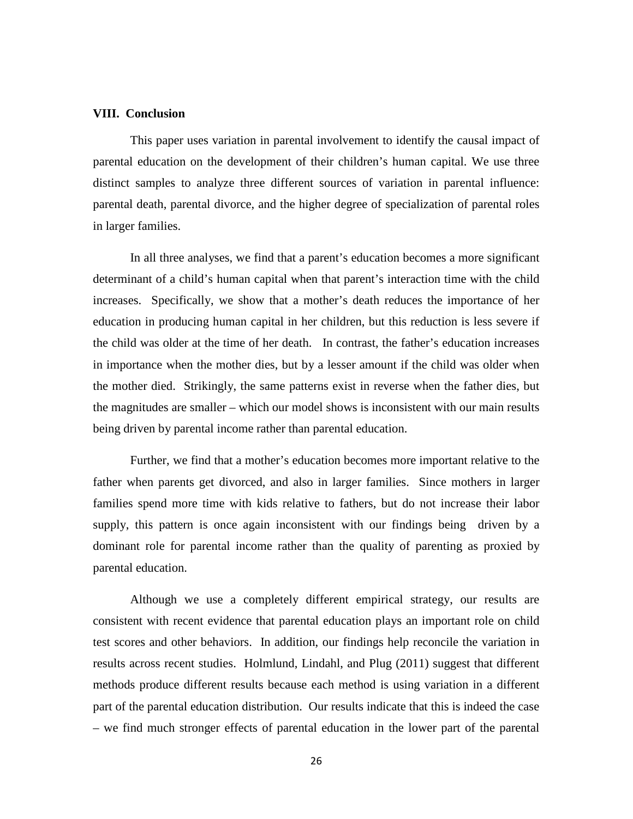## **VIII. Conclusion**

This paper uses variation in parental involvement to identify the causal impact of parental education on the development of their children's human capital. We use three distinct samples to analyze three different sources of variation in parental influence: parental death, parental divorce, and the higher degree of specialization of parental roles in larger families.

In all three analyses, we find that a parent's education becomes a more significant determinant of a child's human capital when that parent's interaction time with the child increases. Specifically, we show that a mother's death reduces the importance of her education in producing human capital in her children, but this reduction is less severe if the child was older at the time of her death. In contrast, the father's education increases in importance when the mother dies, but by a lesser amount if the child was older when the mother died. Strikingly, the same patterns exist in reverse when the father dies, but the magnitudes are smaller – which our model shows is inconsistent with our main results being driven by parental income rather than parental education.

Further, we find that a mother's education becomes more important relative to the father when parents get divorced, and also in larger families. Since mothers in larger families spend more time with kids relative to fathers, but do not increase their labor supply, this pattern is once again inconsistent with our findings being driven by a dominant role for parental income rather than the quality of parenting as proxied by parental education.

Although we use a completely different empirical strategy, our results are consistent with recent evidence that parental education plays an important role on child test scores and other behaviors. In addition, our findings help reconcile the variation in results across recent studies. Holmlund, Lindahl, and Plug (2011) suggest that different methods produce different results because each method is using variation in a different part of the parental education distribution. Our results indicate that this is indeed the case – we find much stronger effects of parental education in the lower part of the parental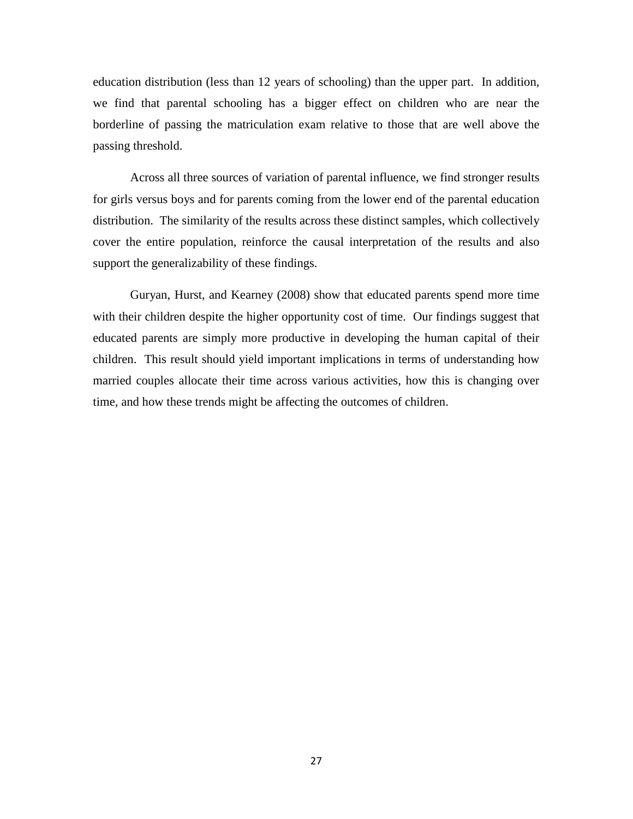education distribution (less than 12 years of schooling) than the upper part. In addition, we find that parental schooling has a bigger effect on children who are near the borderline of passing the matriculation exam relative to those that are well above the passing threshold.

Across all three sources of variation of parental influence, we find stronger results for girls versus boys and for parents coming from the lower end of the parental education distribution. The similarity of the results across these distinct samples, which collectively cover the entire population, reinforce the causal interpretation of the results and also support the generalizability of these findings.

Guryan, Hurst, and Kearney (2008) show that educated parents spend more time with their children despite the higher opportunity cost of time. Our findings suggest that educated parents are simply more productive in developing the human capital of their children. This result should yield important implications in terms of understanding how married couples allocate their time across various activities, how this is changing over time, and how these trends might be affecting the outcomes of children.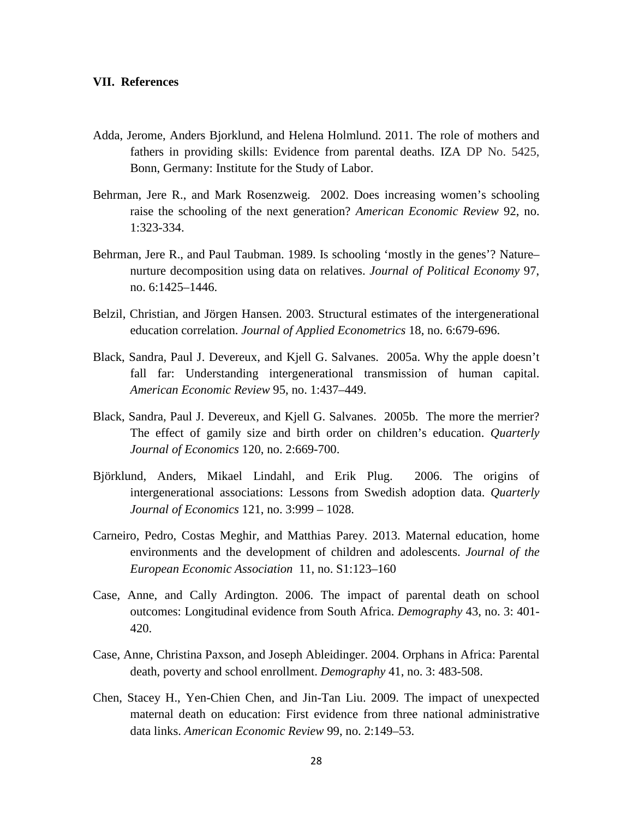### **VII. References**

- Adda, Jerome, Anders Bjorklund, and Helena Holmlund. 2011. The role of mothers and fathers in providing skills: Evidence from parental deaths. IZA DP No. 5425, Bonn, Germany: Institute for the Study of Labor.
- Behrman, Jere R., and Mark Rosenzweig. 2002. Does increasing women's schooling raise the schooling of the next generation? *American Economic Review* 92, no. 1:323-334.
- Behrman, Jere R., and Paul Taubman. 1989. Is schooling 'mostly in the genes'? Nature– nurture decomposition using data on relatives. *Journal of Political Economy* 97, no. 6:1425–1446.
- Belzil, Christian, and Jörgen Hansen. 2003. Structural estimates of the intergenerational education correlation. *Journal of Applied Econometrics* 18, no. 6:679-696.
- Black, Sandra, Paul J. Devereux, and Kjell G. Salvanes. 2005a. Why the apple doesn't fall far: Understanding intergenerational transmission of human capital. *American Economic Review* 95, no. 1:437–449.
- Black, Sandra, Paul J. Devereux, and Kjell G. Salvanes. 2005b. The more the merrier? The effect of gamily size and birth order on children's education. *Quarterly Journal of Economics* 120, no. 2:669-700.
- Björklund, Anders, Mikael Lindahl, and Erik Plug. 2006. The origins of intergenerational associations: Lessons from Swedish adoption data. *Quarterly Journal of Economics* 121, no. 3:999 – 1028.
- Carneiro, Pedro, Costas Meghir, and Matthias Parey. 2013. Maternal education, home environments and the development of children and adolescents. *Journal of the European Economic Association* 11, no. S1:123–160
- Case, Anne, and Cally Ardington. 2006. The impact of parental death on school outcomes: Longitudinal evidence from South Africa. *Demography* 43, no. 3: 401- 420.
- Case, Anne, Christina Paxson, and Joseph Ableidinger. 2004. Orphans in Africa: Parental death, poverty and school enrollment. *Demography* 41, no. 3: 483-508.
- Chen, Stacey H., Yen-Chien Chen, and Jin-Tan Liu. 2009. The impact of unexpected maternal death on education: First evidence from three national administrative data links. *American Economic Review* 99, no. 2:149–53.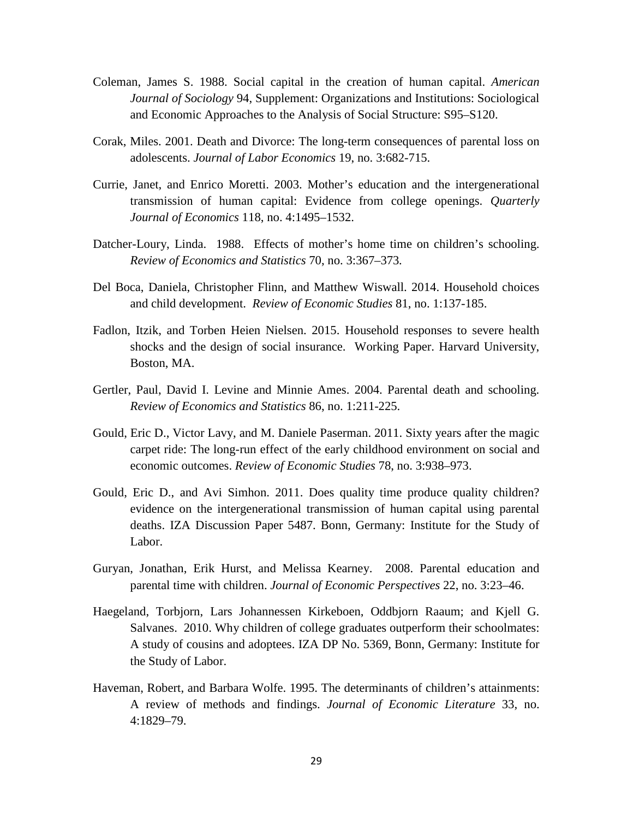- Coleman, James S. 1988. Social capital in the creation of human capital. *American Journal of Sociology* 94, Supplement: Organizations and Institutions: Sociological and Economic Approaches to the Analysis of Social Structure: S95–S120.
- Corak, Miles. 2001. Death and Divorce: The long-term consequences of parental loss on adolescents. *Journal of Labor Economics* 19, no. 3:682-715.
- Currie, Janet, and Enrico Moretti. 2003. Mother's education and the intergenerational transmission of human capital: Evidence from college openings. *Quarterly Journal of Economics* 118, no. 4:1495–1532.
- Datcher-Loury, Linda. 1988. Effects of mother's home time on children's schooling. *Review of Economics and Statistics* 70, no. 3:367–373*.*
- Del Boca, Daniela, Christopher Flinn, and Matthew Wiswall. 2014. [Household choices](https://ideas.repec.org/a/oup/restud/v81y2014i1p137-185.html)  [and child development.](https://ideas.repec.org/a/oup/restud/v81y2014i1p137-185.html) *[Review of Economic Studies](https://ideas.repec.org/s/oup/restud.html)* 81, no. 1:137-185.
- Fadlon, Itzik, and Torben Heien Nielsen. 2015. Household responses to severe health shocks and the design of social insurance. Working Paper. Harvard University, Boston, MA.
- Gertler, Paul, David I. Levine and Minnie Ames. 2004. Parental death and schooling. *Review of Economics and Statistics* 86, no. 1:211-225.
- Gould, Eric D., Victor Lavy, and M. Daniele Paserman. 2011. Sixty years after the magic carpet ride: The long-run effect of the early childhood environment on social and economic outcomes. *Review of Economic Studies* 78, no. 3:938–973.
- Gould, Eric D., and Avi Simhon. 2011. Does quality time produce quality children? evidence on the intergenerational transmission of human capital using parental deaths. IZA Discussion Paper 5487. Bonn, Germany: Institute for the Study of Labor.
- Guryan, Jonathan, Erik Hurst, and Melissa Kearney. 2008. Parental education and parental time with children. *Journal of Economic Perspectives* 22, no. 3:23–46.
- Haegeland, Torbjorn, Lars Johannessen Kirkeboen, Oddbjorn Raaum; and Kjell G. Salvanes. 2010. Why children of college graduates outperform their schoolmates: A study of cousins and adoptees. IZA DP No. 5369, Bonn, Germany: Institute for the Study of Labor.
- Haveman, Robert, and Barbara Wolfe. 1995. The determinants of children's attainments: A review of methods and findings. *Journal of Economic Literature* 33, no. 4:1829–79.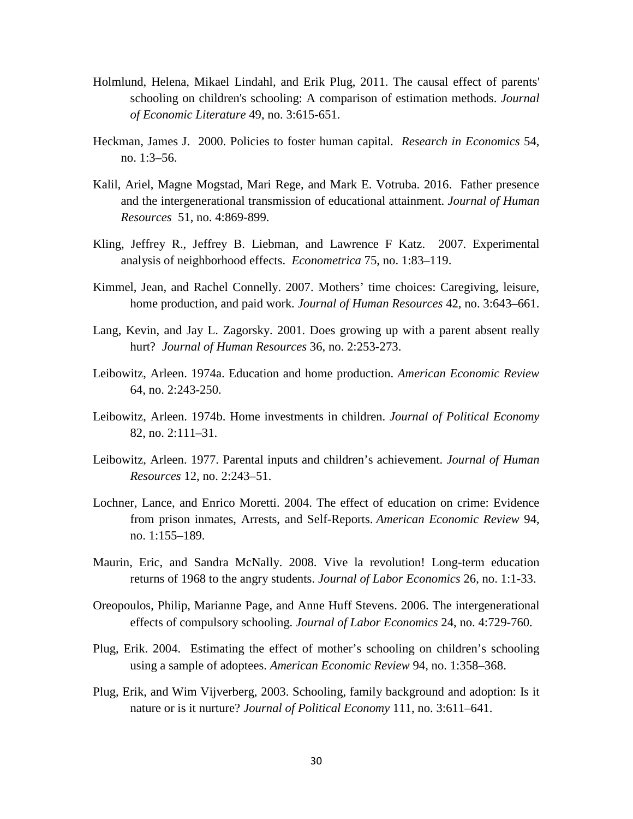- Holmlund, Helena, Mikael Lindahl, and Erik Plug, 2011. The causal effect of parents' schooling on children's schooling: A comparison of estimation methods. *Journal of Economic Literature* 49, no. 3:615-651.
- Heckman, James J. 2000. Policies to foster human capital. *Research in Economics* 54, no. 1:3–56.
- Kalil, Ariel, Magne Mogstad, Mari Rege, and Mark E. Votruba. 2016. Father presence and the intergenerational transmission of educational attainment. *Journal of Human Resources* 51, no. 4:869-899.
- Kling, Jeffrey R., Jeffrey B. Liebman, and Lawrence F Katz. 2007. Experimental analysis of neighborhood effects. *Econometrica* 75, no. 1:83–119.
- Kimmel, Jean, and Rachel Connelly. 2007. Mothers' time choices: Caregiving, leisure, home production, and paid work*. Journal of Human Resources* 42, no. 3:643–661.
- Lang, Kevin, and Jay L. Zagorsky. 2001. Does growing up with a parent absent really hurt? *Journal of Human Resources* 36, no. 2:253-273.
- Leibowitz, Arleen. 1974a. Education and home production. *American Economic Review* 64, no. 2:243-250.
- Leibowitz, Arleen. 1974b. Home investments in children. *Journal of Political Economy*  82, no. 2:111–31.
- Leibowitz, Arleen. 1977. Parental inputs and children's achievement. *Journal of Human Resources* 12, no. 2:243–51.
- Lochner, Lance, and Enrico Moretti. 2004. The effect of education on crime: Evidence from prison inmates, Arrests, and Self-Reports. *American Economic Review* 94, no. 1:155–189.
- Maurin, Eric, and Sandra McNally. 2008. Vive la revolution! Long-term education returns of 1968 to the angry students. *Journal of Labor Economics* 26, no. 1:1-33.
- Oreopoulos, Philip, Marianne Page, and Anne Huff Stevens. 2006. The intergenerational effects of compulsory schooling. *Journal of Labor Economics* 24, no. 4:729-760.
- Plug, Erik. 2004. Estimating the effect of mother's schooling on children's schooling using a sample of adoptees. *American Economic Review* 94, no. 1:358–368.
- Plug, Erik, and Wim Vijverberg, 2003. Schooling, family background and adoption: Is it nature or is it nurture? *Journal of Political Economy* 111, no. 3:611–641.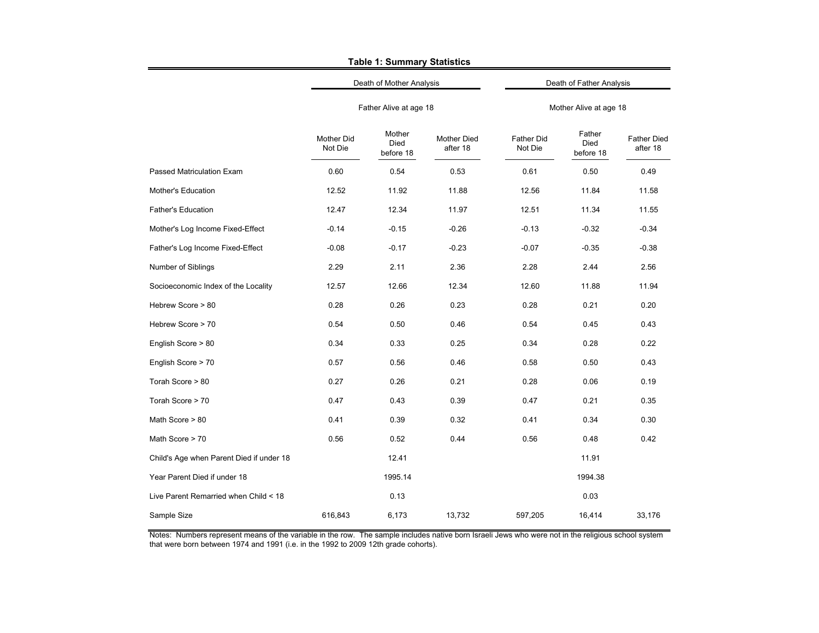| <b>Table 1: Summary Statistics</b>       |                       |                             |                                |                              |                                    |                                |  |  |  |  |  |  |  |
|------------------------------------------|-----------------------|-----------------------------|--------------------------------|------------------------------|------------------------------------|--------------------------------|--|--|--|--|--|--|--|
|                                          |                       | Death of Mother Analysis    |                                | Death of Father Analysis     |                                    |                                |  |  |  |  |  |  |  |
|                                          |                       | Father Alive at age 18      |                                |                              | Mother Alive at age 18             |                                |  |  |  |  |  |  |  |
|                                          | Mother Did<br>Not Die | Mother<br>Died<br>before 18 | <b>Mother Died</b><br>after 18 | <b>Father Did</b><br>Not Die | Father<br><b>Died</b><br>before 18 | <b>Father Died</b><br>after 18 |  |  |  |  |  |  |  |
| Passed Matriculation Exam                | 0.60                  | 0.54                        | 0.53                           | 0.61                         | 0.50                               | 0.49                           |  |  |  |  |  |  |  |
| Mother's Education                       | 12.52                 | 11.92                       | 11.88                          | 12.56                        | 11.84                              | 11.58                          |  |  |  |  |  |  |  |
| <b>Father's Education</b>                | 12.47                 | 12.34                       | 11.97                          | 12.51                        | 11.34                              | 11.55                          |  |  |  |  |  |  |  |
| Mother's Log Income Fixed-Effect         | $-0.14$               | $-0.15$                     | $-0.26$                        | $-0.13$                      | $-0.32$                            | $-0.34$                        |  |  |  |  |  |  |  |
| Father's Log Income Fixed-Effect         | $-0.08$               | $-0.17$                     | $-0.23$                        | $-0.07$                      | $-0.35$                            | $-0.38$                        |  |  |  |  |  |  |  |
| Number of Siblings                       | 2.29                  | 2.11                        | 2.36                           | 2.28                         | 2.44                               | 2.56                           |  |  |  |  |  |  |  |
| Socioeconomic Index of the Locality      | 12.57                 | 12.66                       | 12.34                          | 12.60                        | 11.88                              | 11.94                          |  |  |  |  |  |  |  |
| Hebrew Score > 80                        | 0.28                  | 0.26                        | 0.23                           | 0.28                         | 0.21                               | 0.20                           |  |  |  |  |  |  |  |
| Hebrew Score > 70                        | 0.54                  | 0.50                        | 0.46                           | 0.54                         | 0.45                               | 0.43                           |  |  |  |  |  |  |  |
| English Score > 80                       | 0.34                  | 0.33                        | 0.25                           | 0.34                         | 0.28                               | 0.22                           |  |  |  |  |  |  |  |
| English Score > 70                       | 0.57                  | 0.56                        | 0.46                           | 0.58                         | 0.50                               | 0.43                           |  |  |  |  |  |  |  |
| Torah Score > 80                         | 0.27                  | 0.26                        | 0.21                           | 0.28                         | 0.06                               | 0.19                           |  |  |  |  |  |  |  |
| Torah Score > 70                         | 0.47                  | 0.43                        | 0.39                           | 0.47                         | 0.21                               | 0.35                           |  |  |  |  |  |  |  |
| Math Score > 80                          | 0.41                  | 0.39                        | 0.32                           | 0.41                         | 0.34                               | 0.30                           |  |  |  |  |  |  |  |
| Math Score > 70                          | 0.56                  | 0.52                        | 0.44                           | 0.56                         | 0.48                               | 0.42                           |  |  |  |  |  |  |  |
| Child's Age when Parent Died if under 18 |                       | 12.41                       |                                |                              | 11.91                              |                                |  |  |  |  |  |  |  |
| Year Parent Died if under 18             |                       | 1995.14                     |                                |                              | 1994.38                            |                                |  |  |  |  |  |  |  |
| Live Parent Remarried when Child < 18    |                       | 0.13                        |                                |                              | 0.03                               |                                |  |  |  |  |  |  |  |
| Sample Size                              | 616,843               | 6,173                       | 13,732                         | 597,205                      | 16,414                             | 33,176                         |  |  |  |  |  |  |  |

Notes: Numbers represent means of the variable in the row. The sample includes native born Israeli Jews who were not in the religious school system that were born between 1974 and 1991 (i.e. in the 1992 to 2009 12th grade cohorts).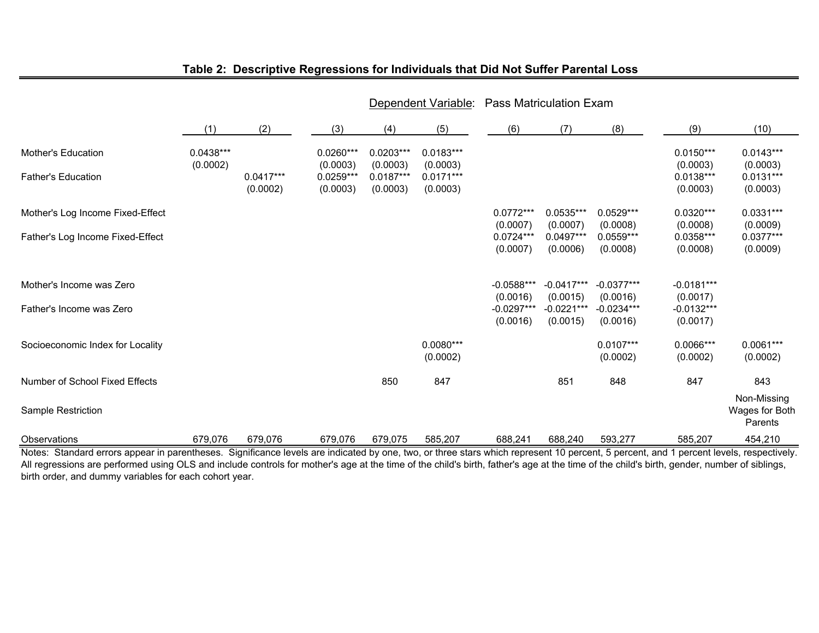|                                  |                         |                         |                         |                         | Dependent Variable:     | <b>Pass Matriculation Exam</b>       |                                      |                                      |                                      |                                          |
|----------------------------------|-------------------------|-------------------------|-------------------------|-------------------------|-------------------------|--------------------------------------|--------------------------------------|--------------------------------------|--------------------------------------|------------------------------------------|
|                                  | (1)                     | (2)                     | (3)                     | (4)                     | (5)                     | (6)                                  | (7)                                  | (8)                                  | (9)                                  | (10)                                     |
| <b>Mother's Education</b>        | $0.0438***$<br>(0.0002) |                         | $0.0260***$<br>(0.0003) | $0.0203***$<br>(0.0003) | $0.0183***$<br>(0.0003) |                                      |                                      |                                      | $0.0150***$<br>(0.0003)              | $0.0143***$<br>(0.0003)                  |
| <b>Father's Education</b>        |                         | $0.0417***$<br>(0.0002) | $0.0259***$<br>(0.0003) | $0.0187***$<br>(0.0003) | $0.0171***$<br>(0.0003) |                                      |                                      |                                      | $0.0138***$<br>(0.0003)              | $0.0131***$<br>(0.0003)                  |
| Mother's Log Income Fixed-Effect |                         |                         |                         |                         |                         | $0.0772***$<br>(0.0007)              | $0.0535***$<br>(0.0007)              | $0.0529***$<br>(0.0008)              | $0.0320***$<br>(0.0008)              | $0.0331***$<br>(0.0009)                  |
| Father's Log Income Fixed-Effect |                         |                         |                         |                         |                         | $0.0724***$<br>(0.0007)              | $0.0497***$<br>(0.0006)              | $0.0559***$<br>(0.0008)              | $0.0358***$<br>(0.0008)              | $0.0377***$<br>(0.0009)                  |
| Mother's Income was Zero         |                         |                         |                         |                         |                         | $-0.0588***$                         | $-0.0417***$                         | $-0.0377***$                         | $-0.0181***$                         |                                          |
| Father's Income was Zero         |                         |                         |                         |                         |                         | (0.0016)<br>$-0.0297***$<br>(0.0016) | (0.0015)<br>$-0.0221***$<br>(0.0015) | (0.0016)<br>$-0.0234***$<br>(0.0016) | (0.0017)<br>$-0.0132***$<br>(0.0017) |                                          |
| Socioeconomic Index for Locality |                         |                         |                         |                         | $0.0080***$<br>(0.0002) |                                      |                                      | $0.0107***$<br>(0.0002)              | $0.0066***$<br>(0.0002)              | $0.0061***$<br>(0.0002)                  |
| Number of School Fixed Effects   |                         |                         |                         | 850                     | 847                     |                                      | 851                                  | 848                                  | 847                                  | 843                                      |
| <b>Sample Restriction</b>        |                         |                         |                         |                         |                         |                                      |                                      |                                      |                                      | Non-Missing<br>Wages for Both<br>Parents |
| Observations                     | 679,076                 | 679,076                 | 679,076                 | 679,075                 | 585,207                 | 688,241                              | 688,240                              | 593,277                              | 585,207                              | 454,210                                  |

## **Table 2: Descriptive Regressions for Individuals that Did Not Suffer Parental Loss**

Notes: Standard errors appear in parentheses. Significance levels are indicated by one, two, or three stars which represent 10 percent, 5 percent, and 1 percent levels, respectively. All regressions are performed using OLS and include controls for mother's age at the time of the child's hith, father's age at the time of the child's birth, gender, number of siblings, birth order, and dummy variables for each cohort year.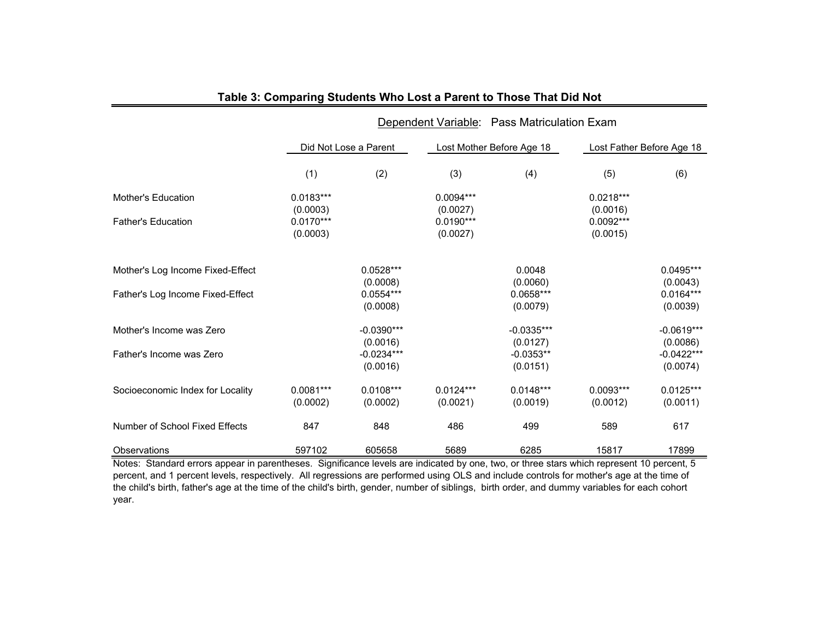|                                  |                         |                                     |                         | Dependent Variable: Pass Matriculation Exam |                         |                                     |
|----------------------------------|-------------------------|-------------------------------------|-------------------------|---------------------------------------------|-------------------------|-------------------------------------|
|                                  |                         | Did Not Lose a Parent               |                         | Lost Mother Before Age 18                   |                         | Lost Father Before Age 18           |
|                                  | (1)                     | (2)                                 | (3)                     | (4)                                         | (5)                     | (6)                                 |
| <b>Mother's Education</b>        | $0.0183***$<br>(0.0003) |                                     | $0.0094***$<br>(0.0027) |                                             | $0.0218***$<br>(0.0016) |                                     |
| <b>Father's Education</b>        | $0.0170***$<br>(0.0003) |                                     | $0.0190***$<br>(0.0027) |                                             | 0.0092***<br>(0.0015)   |                                     |
| Mother's Log Income Fixed-Effect |                         | 0.0528***                           |                         | 0.0048                                      |                         | $0.0495***$                         |
| Father's Log Income Fixed-Effect |                         | (0.0008)<br>$0.0554***$<br>(0.0008) |                         | (0.0060)<br>0.0658***<br>(0.0079)           |                         | (0.0043)<br>$0.0164***$<br>(0.0039) |
| Mother's Income was Zero         |                         | $-0.0390***$<br>(0.0016)            |                         | $-0.0335***$<br>(0.0127)                    |                         | $-0.0619***$<br>(0.0086)            |
| Father's Income was Zero         |                         | $-0.0234***$<br>(0.0016)            |                         | $-0.0353**$<br>(0.0151)                     |                         | $-0.0422***$<br>(0.0074)            |
| Socioeconomic Index for Locality | $0.0081***$<br>(0.0002) | $0.0108***$<br>(0.0002)             | $0.0124***$<br>(0.0021) | $0.0148***$<br>(0.0019)                     | $0.0093***$<br>(0.0012) | $0.0125***$<br>(0.0011)             |
| Number of School Fixed Effects   | 847                     | 848                                 | 486                     | 499                                         | 589                     | 617                                 |
| Observations                     | 597102                  | 605658                              | 5689                    | 6285                                        | 15817                   | 17899                               |

# **Table 3: Comparing Students Who Lost a Parent to Those That Did Not**

Notes: Standard errors appear in parentheses. Significance levels are indicated by one, two, or three stars which represent 10 percent, 5 percent, and 1 percent levels, respectively. All regressions are performed using OLS and include controls for mother's age at the time of the child's birth, father's age at the time of the child's birth, gender, number of siblings, birth order, and dummy variables for each cohort year.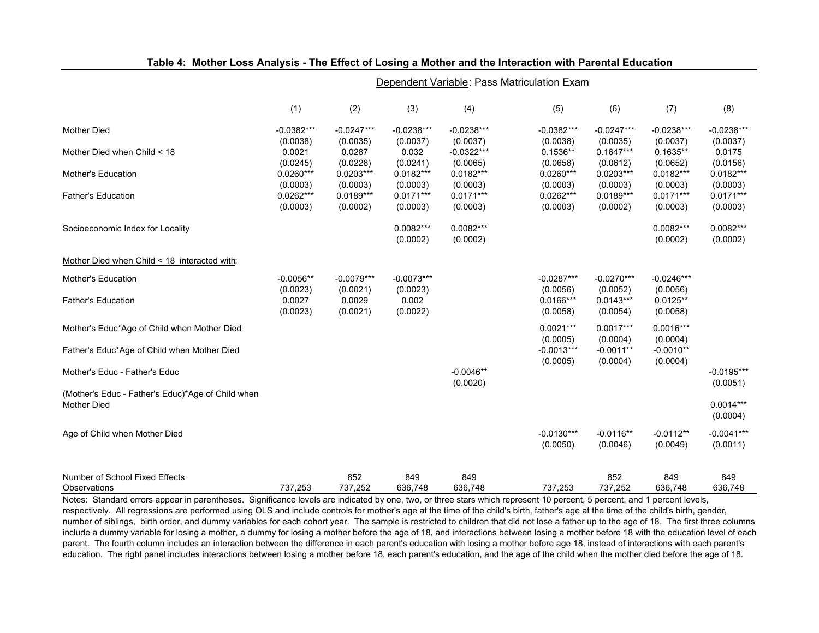|                                                                         |                          |                          |                          |                          | Dependent Variable: Pass Matriculation Exam |                          |                          |                          |
|-------------------------------------------------------------------------|--------------------------|--------------------------|--------------------------|--------------------------|---------------------------------------------|--------------------------|--------------------------|--------------------------|
|                                                                         | (1)                      | (2)                      | (3)                      | (4)                      | (5)                                         | (6)                      | (7)                      | (8)                      |
| <b>Mother Died</b>                                                      | $-0.0382***$<br>(0.0038) | $-0.0247***$<br>(0.0035) | $-0.0238***$<br>(0.0037) | $-0.0238***$<br>(0.0037) | $-0.0382***$<br>(0.0038)                    | $-0.0247***$<br>(0.0035) | $-0.0238***$<br>(0.0037) | $-0.0238***$<br>(0.0037) |
| Mother Died when Child < 18                                             | 0.0021<br>(0.0245)       | 0.0287<br>(0.0228)       | 0.032<br>(0.0241)        | $-0.0322***$<br>(0.0065) | $0.1536**$<br>(0.0658)                      | $0.1647***$<br>(0.0612)  | $0.1635**$<br>(0.0652)   | 0.0175<br>(0.0156)       |
| Mother's Education                                                      | $0.0260***$<br>(0.0003)  | $0.0203***$<br>(0.0003)  | $0.0182***$<br>(0.0003)  | $0.0182***$<br>(0.0003)  | $0.0260***$<br>(0.0003)                     | $0.0203***$<br>(0.0003)  | $0.0182***$<br>(0.0003)  | $0.0182***$<br>(0.0003)  |
| <b>Father's Education</b>                                               | $0.0262***$<br>(0.0003)  | $0.0189***$<br>(0.0002)  | $0.0171***$<br>(0.0003)  | $0.0171***$<br>(0.0003)  | $0.0262***$<br>(0.0003)                     | $0.0189***$<br>(0.0002)  | $0.0171***$<br>(0.0003)  | $0.0171***$<br>(0.0003)  |
| Socioeconomic Index for Locality                                        |                          |                          | $0.0082***$<br>(0.0002)  | $0.0082***$<br>(0.0002)  |                                             |                          | $0.0082***$<br>(0.0002)  | $0.0082***$<br>(0.0002)  |
| Mother Died when Child < 18 interacted with:                            |                          |                          |                          |                          |                                             |                          |                          |                          |
| <b>Mother's Education</b>                                               | $-0.0056**$<br>(0.0023)  | $-0.0079***$<br>(0.0021) | $-0.0073***$<br>(0.0023) |                          | $-0.0287***$<br>(0.0056)                    | $-0.0270***$<br>(0.0052) | $-0.0246***$<br>(0.0056) |                          |
| <b>Father's Education</b>                                               | 0.0027<br>(0.0023)       | 0.0029<br>(0.0021)       | 0.002<br>(0.0022)        |                          | $0.0166***$<br>(0.0058)                     | $0.0143***$<br>(0.0054)  | $0.0125**$<br>(0.0058)   |                          |
| Mother's Educ*Age of Child when Mother Died                             |                          |                          |                          |                          | $0.0021***$<br>(0.0005)                     | $0.0017***$<br>(0.0004)  | $0.0016***$<br>(0.0004)  |                          |
| Father's Educ*Age of Child when Mother Died                             |                          |                          |                          |                          | $-0.0013***$<br>(0.0005)                    | $-0.0011**$<br>(0.0004)  | $-0.0010**$<br>(0.0004)  |                          |
| Mother's Educ - Father's Educ                                           |                          |                          |                          | $-0.0046**$<br>(0.0020)  |                                             |                          |                          | $-0.0195***$<br>(0.0051) |
| (Mother's Educ - Father's Educ)*Age of Child when<br><b>Mother Died</b> |                          |                          |                          |                          |                                             |                          |                          | $0.0014***$<br>(0.0004)  |
| Age of Child when Mother Died                                           |                          |                          |                          |                          | $-0.0130***$<br>(0.0050)                    | $-0.0116**$<br>(0.0046)  | $-0.0112**$<br>(0.0049)  | $-0.0041***$<br>(0.0011) |
| Number of School Fixed Effects<br>Observations                          | 737,253                  | 852<br>737,252           | 849<br>636,748           | 849<br>636,748           | 737,253                                     | 852<br>737,252           | 849<br>636,748           | 849<br>636,748           |

#### **Table 4: Mother Loss Analysis - The Effect of Losing a Mother and the Interaction with Parental Educatio n**

Notes: Standard errors appear in parentheses. Significance levels are indicated by one, two, or three stars which represent 10 percent, 5 percent, and 1 percent levels, respectively. All regressions are performed using OLS and include controls for mother's age at the time of the child's birth, father's age at the time of the child's birth, gender, number of siblings, birth order, and dummy variables for each cohort year. The sample is restricted to children that did not lose a father up to the age of 18. The first three columns include a dummy variable for losing a mother, a dummy for losing a mother before the age of 18, and interactions between losing a mother before 18 with the education level of each parent. The fourth column includes an interaction between the difference in each parent's education with losing a mother before age 18, instead of interactions with each parent's education. The right panel includes interactions between losing a mother before 18, each parent's education, and the age of the child when the mother died before the age of 18.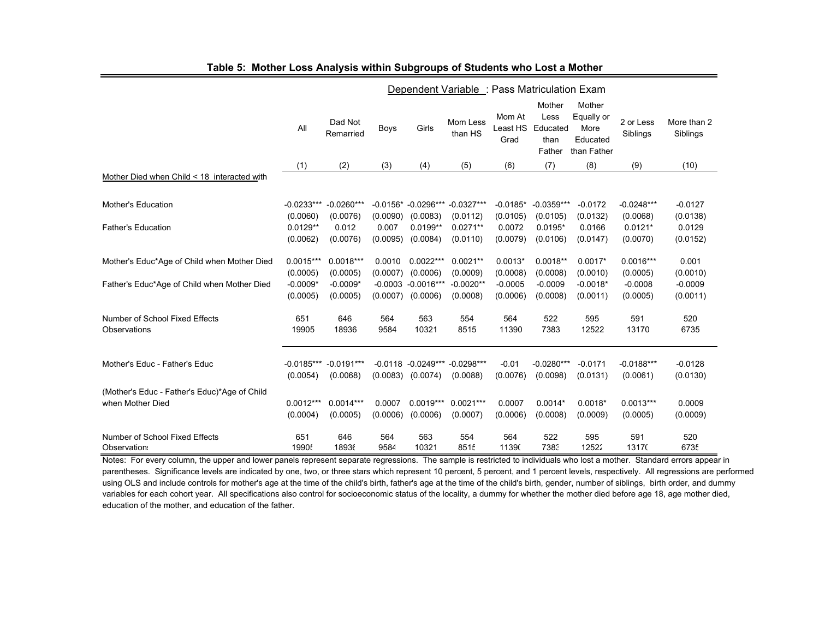|                                              | Dependent Variable : Pass Matriculation Exam |                      |           |                       |                                |                            |                                              |                                                         |                       |                         |  |  |  |
|----------------------------------------------|----------------------------------------------|----------------------|-----------|-----------------------|--------------------------------|----------------------------|----------------------------------------------|---------------------------------------------------------|-----------------------|-------------------------|--|--|--|
|                                              | All                                          | Dad Not<br>Remarried | Boys      | Girls                 | Mom Less<br>than HS            | Mom At<br>Least HS<br>Grad | Mother<br>Less<br>Educated<br>than<br>Father | Mother<br>Equally or<br>More<br>Educated<br>than Father | 2 or Less<br>Siblings | More than 2<br>Siblings |  |  |  |
|                                              | (1)                                          | (2)                  | (3)       | (4)                   | (5)                            | (6)                        | (7)                                          | (8)                                                     | (9)                   | (10)                    |  |  |  |
| Mother Died when Child < 18 interacted with  |                                              |                      |           |                       |                                |                            |                                              |                                                         |                       |                         |  |  |  |
| Mother's Education                           | $-0.0233***$                                 | $-0.0260***$         |           |                       | -0.0156* -0.0296*** -0.0327*** | $-0.0185*$                 | $-0.0359***$                                 | $-0.0172$                                               | $-0.0248***$          | $-0.0127$               |  |  |  |
|                                              | (0.0060)                                     | (0.0076)             | (0.0090)  | (0.0083)              | (0.0112)                       | (0.0105)                   | (0.0105)                                     | (0.0132)                                                | (0.0068)              | (0.0138)                |  |  |  |
| <b>Father's Education</b>                    | $0.0129**$                                   | 0.012                | 0.007     | $0.0199**$            | $0.0271**$                     | 0.0072                     | $0.0195*$                                    | 0.0166                                                  | $0.0121*$             | 0.0129                  |  |  |  |
|                                              | (0.0062)                                     | (0.0076)             | (0.0095)  | (0.0084)              | (0.0110)                       | (0.0079)                   | (0.0106)                                     | (0.0147)                                                | (0.0070)              | (0.0152)                |  |  |  |
| Mother's Educ*Age of Child when Mother Died  | $0.0015***$                                  | $0.0018***$          | 0.0010    | $0.0022***$           | $0.0021**$                     | $0.0013*$                  | $0.0018**$                                   | $0.0017*$                                               | $0.0016***$           | 0.001                   |  |  |  |
|                                              | (0.0005)                                     | (0.0005)             | (0.0007)  | (0.0006)              | (0.0009)                       | (0.0008)                   | (0.0008)                                     | (0.0010)                                                | (0.0005)              | (0.0010)                |  |  |  |
| Father's Educ*Age of Child when Mother Died  | $-0.0009*$                                   | $-0.0009*$           | $-0.0003$ | $-0.0016***$          | $-0.0020**$                    | $-0.0005$                  | $-0.0009$                                    | $-0.0018*$                                              | $-0.0008$             | $-0.0009$               |  |  |  |
|                                              | (0.0005)                                     | (0.0005)             | (0.0007)  | (0.0006)              | (0.0008)                       | (0.0006)                   | (0.0008)                                     | (0.0011)                                                | (0.0005)              | (0.0011)                |  |  |  |
| Number of School Fixed Effects               | 651                                          | 646                  | 564       | 563                   | 554                            | 564                        | 522                                          | 595                                                     | 591                   | 520                     |  |  |  |
| <b>Observations</b>                          | 19905                                        | 18936                | 9584      | 10321                 | 8515                           | 11390                      | 7383                                         | 12522                                                   | 13170                 | 6735                    |  |  |  |
| Mother's Educ - Father's Educ                | $-0.0185***$                                 | $-0.0191***$         |           |                       | -0.0118 -0.0249*** -0.0298***  | $-0.01$                    | $-0.0280***$                                 | $-0.0171$                                               | $-0.0188***$          | $-0.0128$               |  |  |  |
|                                              | (0.0054)                                     | (0.0068)             |           | $(0.0083)$ $(0.0074)$ | (0.0088)                       | (0.0076)                   | (0.0098)                                     | (0.0131)                                                | (0.0061)              | (0.0130)                |  |  |  |
| (Mother's Educ - Father's Educ)*Age of Child |                                              |                      |           |                       |                                |                            |                                              |                                                         |                       |                         |  |  |  |
| when Mother Died                             | $0.0012***$                                  | $0.0014***$          | 0.0007    | $0.0019***$           | $0.0021***$                    | 0.0007                     | $0.0014*$                                    | $0.0018*$                                               | $0.0013***$           | 0.0009                  |  |  |  |
|                                              | (0.0004)                                     | (0.0005)             | (0.0006)  | (0.0006)              | (0.0007)                       | (0.0006)                   | (0.0008)                                     | (0.0009)                                                | (0.0005)              | (0.0009)                |  |  |  |
| Number of School Fixed Effects               | 651                                          | 646                  | 564       | 563                   | 554                            | 564                        | 522                                          | 595                                                     | 591                   | 520                     |  |  |  |
| Observation:                                 | 19905                                        | 18936                | 9584      | 10321                 | 8515                           | 11390                      | 7383                                         | 12522                                                   | 13170                 | 6735                    |  |  |  |

#### **Table 5: Mother Loss Analysis within Subgroups of Students who Lost a Mother**

Notes: For every column, the upper and lower panels represent separate regressions. The sample is restricted to individuals who lost a mother. Standard errors appear in parentheses. Significance levels are indicated by one, two, or three stars which represent 10 percent, 5 percent, and 1 percent levels, respectively. All regressions are performed using OLS and include controls for mother's age at the time of the child's birth, father's age at the time of the child's birth, gender, number of siblings, birth order, and dummy variables for each cohort year. All specifications also control for socioeconomic status of the locality, a dummy for whether the mother died before age 18, age mother died, education of the mother, and education of the father.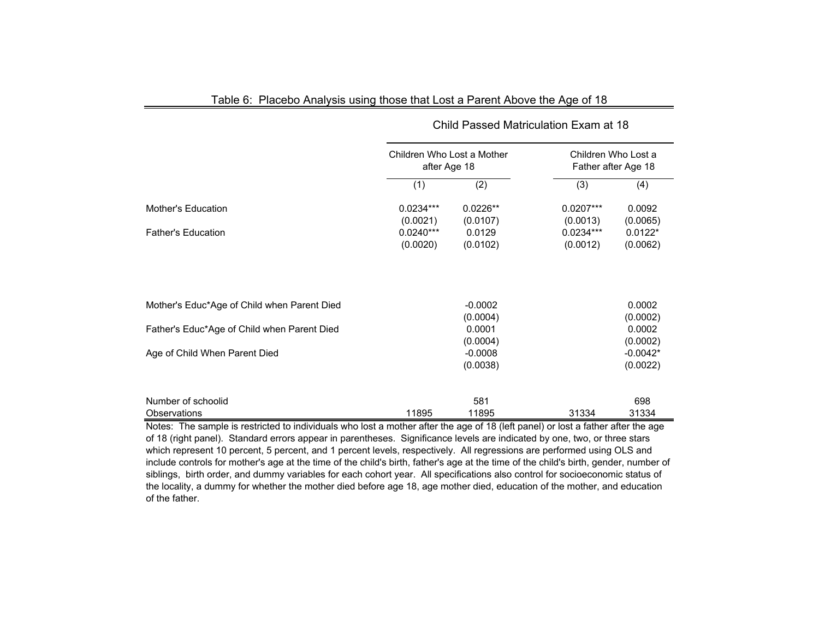|                                             | Children Who Lost a Mother<br>after Age 18 |                        | Children Who Lost a     | Father after Age 18    |
|---------------------------------------------|--------------------------------------------|------------------------|-------------------------|------------------------|
|                                             | (1)                                        | (2)                    | (3)                     | (4)                    |
| Mother's Education                          | $0.0234***$<br>(0.0021)                    | $0.0226**$<br>(0.0107) | $0.0207***$<br>(0.0013) | 0.0092<br>(0.0065)     |
| <b>Father's Education</b>                   | $0.0240***$<br>(0.0020)                    | 0.0129<br>(0.0102)     | $0.0234***$<br>(0.0012) | $0.0122*$<br>(0.0062)  |
|                                             |                                            |                        |                         |                        |
| Mother's Educ*Age of Child when Parent Died |                                            | $-0.0002$<br>(0.0004)  |                         | 0.0002<br>(0.0002)     |
| Father's Educ*Age of Child when Parent Died |                                            | 0.0001<br>(0.0004)     |                         | 0.0002<br>(0.0002)     |
| Age of Child When Parent Died               |                                            | $-0.0008$<br>(0.0038)  |                         | $-0.0042*$<br>(0.0022) |
| Number of schoolid<br>Observations          | 11895                                      | 581<br>11895           | 31334                   | 698<br>31334           |

## Table 6: Placebo Analysis using those that Lost a Parent Above the Age of 18

Child Passed Matriculation Exam at 18

Notes: The sample is restricted to individuals who lost a mother after the age of 18 (left panel) or lost a father after the age of 18 (right panel). Standard errors appear in parentheses. Significance levels are indicated by one, two, or three stars which represent 10 percent, 5 percent, and 1 percent levels, respectively. All regressions are performed using OLS and include controls for mother's age at the time of the child's birth, father's age at the time of the child's birth, gender, number of siblings, birth order, and dummy variables for each cohort year. All specifications also control for socioeconomic status of the locality, a dummy for whether the mother died before age 18, age mother died, education of the mother, and education of the father.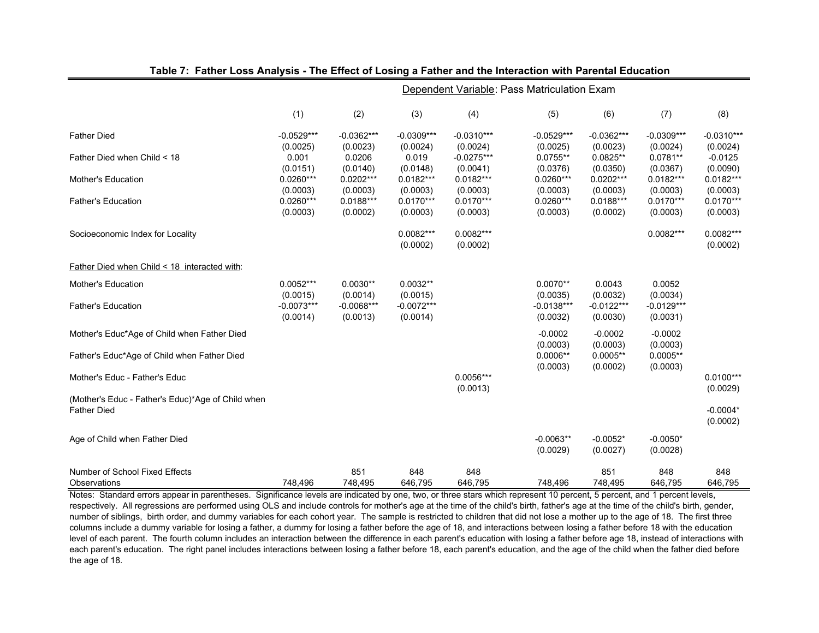|                                                                         |                          |                          |                          |                          | Dependent Variable: Pass Matriculation Exam |                          |                          |                          |
|-------------------------------------------------------------------------|--------------------------|--------------------------|--------------------------|--------------------------|---------------------------------------------|--------------------------|--------------------------|--------------------------|
|                                                                         | (1)                      | (2)                      | (3)                      | (4)                      | (5)                                         | (6)                      | (7)                      | (8)                      |
| <b>Father Died</b>                                                      | $-0.0529***$<br>(0.0025) | $-0.0362***$<br>(0.0023) | $-0.0309***$<br>(0.0024) | $-0.0310***$<br>(0.0024) | $-0.0529***$<br>(0.0025)                    | $-0.0362***$<br>(0.0023) | $-0.0309***$<br>(0.0024) | $-0.0310***$<br>(0.0024) |
| Father Died when Child < 18                                             | 0.001<br>(0.0151)        | 0.0206<br>(0.0140)       | 0.019<br>(0.0148)        | $-0.0275***$<br>(0.0041) | $0.0755**$<br>(0.0376)                      | $0.0825**$<br>(0.0350)   | $0.0781**$<br>(0.0367)   | $-0.0125$<br>(0.0090)    |
| Mother's Education                                                      | $0.0260***$<br>(0.0003)  | $0.0202***$<br>(0.0003)  | $0.0182***$<br>(0.0003)  | $0.0182***$<br>(0.0003)  | $0.0260***$<br>(0.0003)                     | $0.0202***$<br>(0.0003)  | $0.0182***$<br>(0.0003)  | $0.0182***$<br>(0.0003)  |
| <b>Father's Education</b>                                               | $0.0260***$<br>(0.0003)  | $0.0188***$<br>(0.0002)  | $0.0170***$<br>(0.0003)  | $0.0170***$<br>(0.0003)  | $0.0260***$<br>(0.0003)                     | $0.0188***$<br>(0.0002)  | $0.0170***$<br>(0.0003)  | $0.0170***$<br>(0.0003)  |
| Socioeconomic Index for Locality                                        |                          |                          | $0.0082***$<br>(0.0002)  | $0.0082***$<br>(0.0002)  |                                             |                          | $0.0082***$              | $0.0082***$<br>(0.0002)  |
| Father Died when Child < 18 interacted with:                            |                          |                          |                          |                          |                                             |                          |                          |                          |
| Mother's Education                                                      | $0.0052***$<br>(0.0015)  | $0.0030**$<br>(0.0014)   | $0.0032**$<br>(0.0015)   |                          | $0.0070**$<br>(0.0035)                      | 0.0043<br>(0.0032)       | 0.0052<br>(0.0034)       |                          |
| <b>Father's Education</b>                                               | $-0.0073***$<br>(0.0014) | $-0.0068***$<br>(0.0013) | $-0.0072***$<br>(0.0014) |                          | $-0.0138***$<br>(0.0032)                    | $-0.0122***$<br>(0.0030) | $-0.0129***$<br>(0.0031) |                          |
| Mother's Educ*Age of Child when Father Died                             |                          |                          |                          |                          | $-0.0002$<br>(0.0003)                       | $-0.0002$<br>(0.0003)    | $-0.0002$<br>(0.0003)    |                          |
| Father's Educ*Age of Child when Father Died                             |                          |                          |                          |                          | $0.0006**$<br>(0.0003)                      | $0.0005**$<br>(0.0002)   | $0.0005**$<br>(0.0003)   |                          |
| Mother's Educ - Father's Educ                                           |                          |                          |                          | $0.0056***$<br>(0.0013)  |                                             |                          |                          | $0.0100***$<br>(0.0029)  |
| (Mother's Educ - Father's Educ)*Age of Child when<br><b>Father Died</b> |                          |                          |                          |                          |                                             |                          |                          | $-0.0004*$<br>(0.0002)   |
| Age of Child when Father Died                                           |                          |                          |                          |                          | $-0.0063**$<br>(0.0029)                     | $-0.0052*$<br>(0.0027)   | $-0.0050*$<br>(0.0028)   |                          |
| Number of School Fixed Effects                                          |                          | 851                      | 848                      | 848                      |                                             | 851                      | 848                      | 848                      |
| Observations                                                            | 748,496                  | 748,495                  | 646,795                  | 646,795                  | 748,496                                     | 748,495                  | 646,795                  | 646,795                  |

#### **Table 7: Father Loss Analysis - The Effect of Losing a Father and the Interaction with Parental Education**

Notes: Standard errors appear in parentheses. Significance levels are indicated by one, two, or three stars which represent 10 percent, 5 percent, and 1 percent levels, respectively. All regressions are performed using OLS and include controls for mother's age at the time of the child's birth, father's age at the time of the child's birth, gender, number of siblings, birth order, and dummy variables for each cohort year. The sample is restricted to children that did not lose a mother up to the age of 18. The first three columns include a dummy variable for losing a father, a dummy for losing a father before the age of 18, and interactions between losing a father before 18 with the education level of each parent. The fourth column includes an interaction between the difference in each parent's education with losing a father before age 18, instead of interactions with each parent's education. The right panel includes interactions between losing a father before 18, each parent's education, and the age of the child when the father died before the age of 18.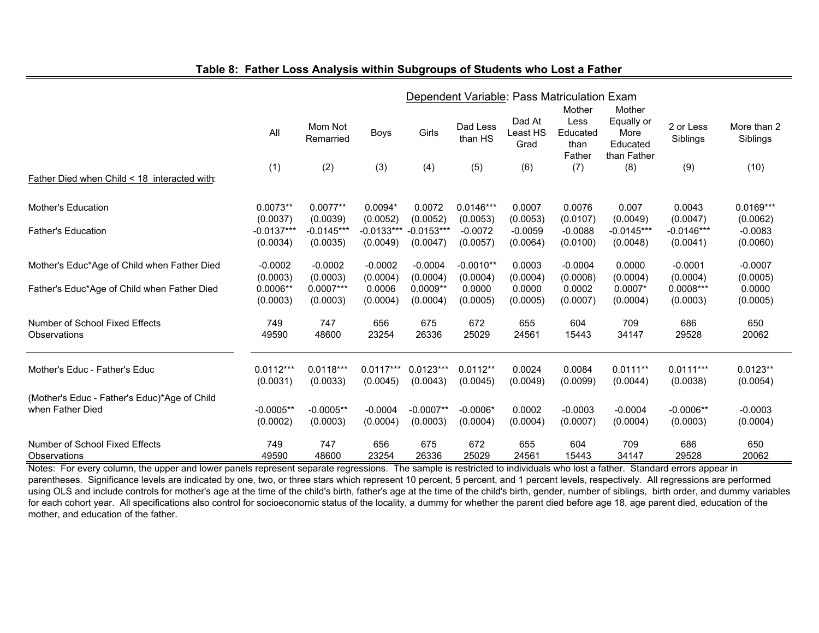|                                              | <b>Dependent Variable: Pass Matriculation Exam</b> |                      |              |              |                     |                            |                                              |                                                         |                       |                         |  |  |
|----------------------------------------------|----------------------------------------------------|----------------------|--------------|--------------|---------------------|----------------------------|----------------------------------------------|---------------------------------------------------------|-----------------------|-------------------------|--|--|
|                                              | All                                                | Mom Not<br>Remarried | <b>Boys</b>  | Girls        | Dad Less<br>than HS | Dad At<br>Least HS<br>Grad | Mother<br>Less<br>Educated<br>than<br>Father | Mother<br>Equally or<br>More<br>Educated<br>than Father | 2 or Less<br>Siblings | More than 2<br>Siblings |  |  |
| Father Died when Child < 18 interacted with: | (1)                                                | (2)                  | (3)          | (4)          | (5)                 | (6)                        | (7)                                          | (8)                                                     | (9)                   | (10)                    |  |  |
| <b>Mother's Education</b>                    | $0.0073**$                                         | $0.0077**$           | $0.0094*$    | 0.0072       | $0.0146***$         | 0.0007                     | 0.0076                                       | 0.007                                                   | 0.0043                | $0.0169***$             |  |  |
|                                              | (0.0037)                                           | (0.0039)             | (0.0052)     | (0.0052)     | (0.0053)            | (0.0053)                   | (0.0107)                                     | (0.0049)                                                | (0.0047)              | (0.0062)                |  |  |
| <b>Father's Education</b>                    | $-0.0137***$                                       | $-0.0145***$         | $-0.0133***$ | $-0.0153***$ | $-0.0072$           | $-0.0059$                  | $-0.0088$                                    | $-0.0145***$                                            | $-0.0146***$          | $-0.0083$               |  |  |
|                                              | (0.0034)                                           | (0.0035)             | (0.0049)     | (0.0047)     | (0.0057)            | (0.0064)                   | (0.0100)                                     | (0.0048)                                                | (0.0041)              | (0.0060)                |  |  |
| Mother's Educ*Age of Child when Father Died  | $-0.0002$                                          | $-0.0002$            | $-0.0002$    | $-0.0004$    | $-0.0010**$         | 0.0003                     | $-0.0004$                                    | 0.0000                                                  | $-0.0001$             | $-0.0007$               |  |  |
|                                              | (0.0003)                                           | (0.0003)             | (0.0004)     | (0.0004)     | (0.0004)            | (0.0004)                   | (0.0008)                                     | (0.0004)                                                | (0.0004)              | (0.0005)                |  |  |
| Father's Educ*Age of Child when Father Died  | $0.0006**$                                         | $0.0007***$          | 0.0006       | $0.0009**$   | 0.0000              | 0.0000                     | 0.0002                                       | $0.0007*$                                               | $0.0008***$           | 0.0000                  |  |  |
|                                              | (0.0003)                                           | (0.0003)             | (0.0004)     | (0.0004)     | (0.0005)            | (0.0005)                   | (0.0007)                                     | (0.0004)                                                | (0.0003)              | (0.0005)                |  |  |
| Number of School Fixed Effects               | 749                                                | 747                  | 656          | 675          | 672                 | 655                        | 604                                          | 709                                                     | 686                   | 650                     |  |  |
| Observations                                 | 49590                                              | 48600                | 23254        | 26336        | 25029               | 24561                      | 15443                                        | 34147                                                   | 29528                 | 20062                   |  |  |
| Mother's Educ - Father's Educ                | $0.0112***$                                        | $0.0118***$          | $0.0117***$  | $0.0123***$  | $0.0112**$          | 0.0024                     | 0.0084                                       | $0.0111**$                                              | $0.0111***$           | $0.0123**$              |  |  |
|                                              | (0.0031)                                           | (0.0033)             | (0.0045)     | (0.0043)     | (0.0045)            | (0.0049)                   | (0.0099)                                     | (0.0044)                                                | (0.0038)              | (0.0054)                |  |  |
| (Mother's Educ - Father's Educ)*Age of Child | $-0.0005**$                                        | $-0.0005**$          | $-0.0004$    | $-0.0007**$  | $-0.0006*$          | 0.0002                     | $-0.0003$                                    | $-0.0004$                                               | $-0.0006**$           | $-0.0003$               |  |  |
| when Father Died                             | (0.0002)                                           | (0.0003)             | (0.0004)     | (0.0003)     | (0.0004)            | (0.0004)                   | (0.0007)                                     | (0.0004)                                                | (0.0003)              | (0.0004)                |  |  |
| Number of School Fixed Effects               | 749                                                | 747                  | 656          | 675          | 672                 | 655                        | 604                                          | 709                                                     | 686                   | 650                     |  |  |
| Observations                                 | 49590                                              | 48600                | 23254        | 26336        | 25029               | 24561                      | 15443                                        | 34147                                                   | 29528                 | 20062                   |  |  |

## **Table 8: Father Loss Analysis within Subgroups of Students who Lost a Father**

Notes: For every column, the upper and lower panels represent separate regressions. The sample is restricted to individuals who lost a father. Standard errors appear in parentheses. Significance levels are indicated by one, two, or three stars which represent 10 percent, 5 percent, and 1 percent levels, respectively. All regressions are performed using OLS and include controls for mother's age at the time of the child's birth, father's age at the time of the child's birth, gender, number of siblings, birth order, and dummy variables for each cohort year. All specifications also control for socioeconomic status of the locality, a dummy for whether the parent died before age 18, age parent died, education of the mother, and education of the father.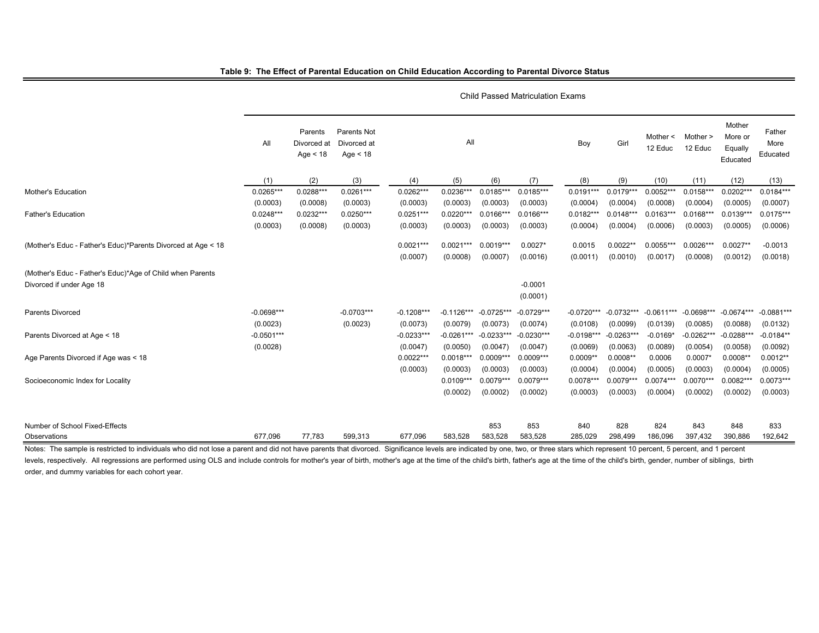|                                                                                                                                                                                                                                | Crilla Passed Matriculation Exams |                                      |                                          |                          |                          |                          |                          |                          |                          |                          |                          |                                          |                            |
|--------------------------------------------------------------------------------------------------------------------------------------------------------------------------------------------------------------------------------|-----------------------------------|--------------------------------------|------------------------------------------|--------------------------|--------------------------|--------------------------|--------------------------|--------------------------|--------------------------|--------------------------|--------------------------|------------------------------------------|----------------------------|
|                                                                                                                                                                                                                                | All                               | Parents<br>Divorced at<br>Age $<$ 18 | Parents Not<br>Divorced at<br>Age $<$ 18 |                          | All                      |                          |                          | Boy                      | Girl                     | Mother $\leq$<br>12 Educ | Mother ><br>12 Educ      | Mother<br>More or<br>Equally<br>Educated | Father<br>More<br>Educated |
|                                                                                                                                                                                                                                | (1)                               | (2)                                  | (3)                                      | (4)                      | (5)                      | (6)                      | (7)                      | (8)                      | (9)                      | (10)                     | (11)                     | (12)                                     | (13)                       |
| Mother's Education                                                                                                                                                                                                             | $0.0265***$                       | $0.0288***$                          | $0.0261***$                              | $0.0262***$              | $0.0236***$              | $0.0185***$              | $0.0185***$              | $0.0191***$              | $0.0179***$              | $0.0052***$              | $0.0158***$              | $0.0202***$                              | $0.0184***$                |
|                                                                                                                                                                                                                                | (0.0003)                          | (0.0008)                             | (0.0003)                                 | (0.0003)                 | (0.0003)                 | (0.0003)                 | (0.0003)                 | (0.0004)                 | (0.0004)                 | (0.0008)                 | (0.0004)                 | (0.0005)                                 | (0.0007)                   |
| <b>Father's Education</b>                                                                                                                                                                                                      | $0.0248***$                       | $0.0232***$                          | $0.0250***$                              | $0.0251***$              | $0.0220***$              | $0.0166***$              | $0.0166***$              | $0.0182***$              | $0.0148***$              | $0.0163***$              | $0.0168***$              | $0.0139***$                              | $0.0175***$                |
|                                                                                                                                                                                                                                | (0.0003)                          | (0.0008)                             | (0.0003)                                 | (0.0003)                 | (0.0003)                 | (0.0003)                 | (0.0003)                 | (0.0004)                 | (0.0004)                 | (0.0006)                 | (0.0003)                 | (0.0005)                                 | (0.0006)                   |
| (Mother's Educ - Father's Educ)*Parents Divorced at Age < 18                                                                                                                                                                   |                                   |                                      |                                          | $0.0021***$              | $0.0021***$              | $0.0019***$              | $0.0027*$                | 0.0015                   | $0.0022**$               | $0.0055***$              | $0.0026***$              | $0.0027**$                               | $-0.0013$                  |
|                                                                                                                                                                                                                                |                                   |                                      |                                          | (0.0007)                 | (0.0008)                 | (0.0007)                 | (0.0016)                 | (0.0011)                 | (0.0010)                 | (0.0017)                 | (0.0008)                 | (0.0012)                                 | (0.0018)                   |
| (Mother's Educ - Father's Educ)*Age of Child when Parents                                                                                                                                                                      |                                   |                                      |                                          |                          |                          |                          |                          |                          |                          |                          |                          |                                          |                            |
| Divorced if under Age 18                                                                                                                                                                                                       |                                   |                                      |                                          |                          |                          |                          | $-0.0001$<br>(0.0001)    |                          |                          |                          |                          |                                          |                            |
| <b>Parents Divorced</b>                                                                                                                                                                                                        | $-0.0698***$<br>(0.0023)          |                                      | $-0.0703***$<br>(0.0023)                 | $-0.1208***$<br>(0.0073) | $-0.1126***$<br>(0.0079) | $-0.0725***$<br>(0.0073) | $-0.0729***$<br>(0.0074) | $-0.0720***$<br>(0.0108) | $-0.0732***$<br>(0.0099) | $-0.0611***$<br>(0.0139) | $-0.0698***$<br>(0.0085) | $-0.0674***$<br>(0.0088)                 | $-0.0881***$<br>(0.0132)   |
| Parents Divorced at Age < 18                                                                                                                                                                                                   | $-0.0501***$                      |                                      |                                          | $-0.0233***$             | $-0.0261***$             | $-0.0233***$             | $-0.0230***$             | $-0.0198***$             | $-0.0263***$             | $-0.0169*$               | $-0.0262***$             | $-0.0288***$                             | $-0.0184**$                |
|                                                                                                                                                                                                                                | (0.0028)                          |                                      |                                          | (0.0047)                 | (0.0050)                 | (0.0047)                 | (0.0047)                 | (0.0069)                 | (0.0063)                 | (0.0089)                 | (0.0054)                 | (0.0058)                                 | (0.0092)                   |
| Age Parents Divorced if Age was < 18                                                                                                                                                                                           |                                   |                                      |                                          | $0.0022***$              | $0.0018***$              | $0.0009***$              | $0.0009***$              | $0.0009**$               | $0.0008**$               | 0.0006                   | $0.0007*$                | $0.0008**$                               | $0.0012**$                 |
|                                                                                                                                                                                                                                |                                   |                                      |                                          | (0.0003)                 | (0.0003)                 | (0.0003)                 | (0.0003)                 | (0.0004)                 | (0.0004)                 | (0.0005)                 | (0.0003)                 | (0.0004)                                 | (0.0005)                   |
| Socioeconomic Index for Locality                                                                                                                                                                                               |                                   |                                      |                                          |                          | $0.0109***$              | $0.0079***$              | $0.0079***$              | $0.0078***$              | $0.0079***$              | $0.0074***$              | $0.0070***$              | $0.0082***$                              | $0.0073***$                |
|                                                                                                                                                                                                                                |                                   |                                      |                                          |                          | (0.0002)                 | (0.0002)                 | (0.0002)                 | (0.0003)                 | (0.0003)                 | (0.0004)                 | (0.0002)                 | (0.0002)                                 | (0.0003)                   |
| Number of School Fixed-Effects                                                                                                                                                                                                 |                                   |                                      |                                          |                          |                          | 853                      | 853                      | 840                      | 828                      | 824                      | 843                      | 848                                      | 833                        |
| Observations                                                                                                                                                                                                                   | 677,096                           | 77,783                               | 599,313                                  | 677,096                  | 583,528                  | 583,528                  | 583,528                  | 285,029                  | 298,499                  | 186,096                  | 397,432                  | 390,886                                  | 192,642                    |
| Notes: The sample is restricted to individuals who did not lose a parent and did not have parents that divorced. Significance levels are indicated by one, two, or three stars which represent 10 percent, 5 percent, and 1 pe |                                   |                                      |                                          |                          |                          |                          |                          |                          |                          |                          |                          |                                          |                            |

levels, respectively. All regressions are performed using OLS and include controls for mother's year of birth, mother's age at the time of the child's birth, father's age at the time of the child's birth, gender, number of

**Table 9: The Effect of Parental Education on Child Education According to Parental Divorce Status**

Child Passed Matriculation Exams

order, and dummy variables for each cohort year.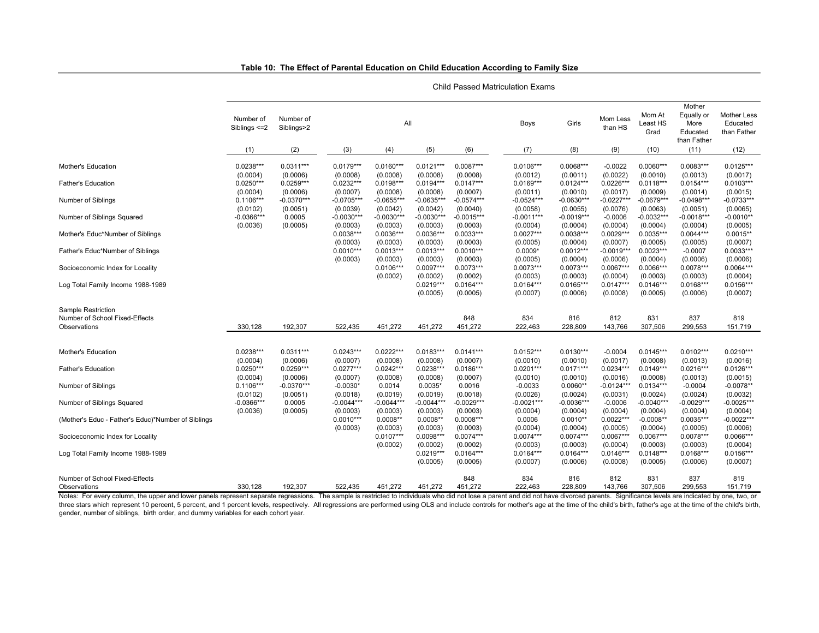|                                                      | Number of<br>Siblings <= 2 | Number of<br>Siblings>2  | All                      |                          |                                     |                                     | Boys                                | Girls                               | Mom Less<br>than HS                 | Mom At<br>Least HS<br>Grad          | Mother<br>Equally or<br>More<br>Educated<br>than Father | <b>Mother Less</b><br>Educated<br>than Father |
|------------------------------------------------------|----------------------------|--------------------------|--------------------------|--------------------------|-------------------------------------|-------------------------------------|-------------------------------------|-------------------------------------|-------------------------------------|-------------------------------------|---------------------------------------------------------|-----------------------------------------------|
|                                                      | (1)                        | (2)                      | (3)                      | (4)                      | (5)                                 | (6)                                 | (7)                                 | (8)                                 | (9)                                 | (10)                                | (11)                                                    | (12)                                          |
| <b>Mother's Education</b>                            | $0.0238***$<br>(0.0004)    | $0.0311***$<br>(0.0006)  | $0.0179***$<br>(0.0008)  | $0.0160***$<br>(0.0008)  | $0.0121***$<br>(0.0008)             | $0.0087***$<br>(0.0008)             | $0.0106***$<br>(0.0012)             | 0.0068***<br>(0.0011)               | $-0.0022$<br>(0.0022)               | $0.0060***$<br>(0.0010)             | $0.0083***$<br>(0.0013)                                 | $0.0125***$<br>(0.0017)                       |
| <b>Father's Education</b>                            | $0.0250***$<br>(0.0004)    | $0.0259***$<br>(0.0006)  | $0.0232***$<br>(0.0007)  | $0.0198***$<br>(0.0008)  | $0.0194***$<br>(0.0008)             | $0.0147***$<br>(0.0007)             | $0.0169***$<br>(0.0011)             | $0.0124***$<br>(0.0010)             | $0.0226***$<br>(0.0017)             | $0.0118***$<br>(0.0009)             | $0.0154***$<br>(0.0014)                                 | $0.0103***$<br>(0.0015)                       |
| Number of Siblings                                   | $0.1106***$<br>(0.0102)    | $-0.0370***$<br>(0.0051) | $-0.0705***$<br>(0.0039) | $-0.0655***$<br>(0.0042) | $-0.0635***$<br>(0.0042)            | $-0.0574***$<br>(0.0040)            | $-0.0524***$<br>(0.0058)            | $-0.0630***$<br>(0.0055)            | $-0.0227***$<br>(0.0076)            | $-0.0679***$<br>(0.0063)            | $-0.0498***$<br>(0.0051)                                | $-0.0733***$<br>(0.0065)                      |
| Number of Siblings Squared                           | $-0.0366***$<br>(0.0036)   | 0.0005<br>(0.0005)       | $-0.0030***$<br>(0.0003) | $-0.0030***$<br>(0.0003) | $-0.0030***$<br>(0.0003)            | $-0.0015***$<br>(0.0003)            | $-0.0011***$<br>(0.0004)            | $-0.0019***$<br>(0.0004)            | $-0.0006$<br>(0.0004)               | $-0.0032***$<br>(0.0004)            | $-0.0018***$<br>(0.0004)                                | $-0.0010**$<br>(0.0005)                       |
| Mother's Educ*Number of Siblings                     |                            |                          | $0.0038***$<br>(0.0003)  | $0.0036***$<br>(0.0003)  | $0.0036***$<br>(0.0003)             | $0.0033***$<br>(0.0003)             | $0.0027***$<br>(0.0005)             | $0.0038***$<br>(0.0004)             | $0.0029***$<br>(0.0007)             | $0.0035***$<br>(0.0005)             | $0.0044***$<br>(0.0005)                                 | $0.0015**$<br>(0.0007)                        |
| Father's Educ*Number of Siblings                     |                            |                          | $0.0010***$<br>(0.0003)  | $0.0013***$<br>(0.0003)  | $0.0013***$<br>(0.0003)             | $0.0010***$<br>(0.0003)             | $0.0009*$<br>(0.0005)               | $0.0012***$<br>(0.0004)             | $-0.0019***$<br>(0.0006)            | $0.0023***$<br>(0.0004)             | $-0.0007$<br>(0.0006)                                   | $0.0033***$<br>(0.0006)                       |
| Socioeconomic Index for Locality                     |                            |                          |                          | $0.0106***$<br>(0.0002)  | $0.0097***$<br>(0.0002)             | $0.0073***$<br>(0.0002)             | $0.0073***$<br>(0.0003)             | $0.0073***$<br>(0.0003)             | $0.0067***$<br>(0.0004)             | $0.0066***$<br>(0.0003)             | $0.0078***$<br>(0.0003)                                 | 0.0064***<br>(0.0004)                         |
| Log Total Family Income 1988-1989                    |                            |                          |                          |                          | $0.0219***$<br>(0.0005)             | $0.0164***$<br>(0.0005)             | 0.0164***<br>(0.0007)               | 0.0165***<br>(0.0006)               | $0.0147***$<br>(0.0008)             | $0.0146***$<br>(0.0005)             | $0.0168***$<br>(0.0006)                                 | $0.0156***$<br>(0.0007)                       |
| Sample Restriction<br>Number of School Fixed-Effects |                            |                          |                          |                          |                                     | 848                                 | 834                                 | 816                                 | 812                                 | 831                                 | 837                                                     | 819                                           |
| Observations                                         | 330,128                    | 192,307                  | 522,435                  | 451,272                  | 451,272                             | 451,272                             | 222,463                             | 228,809                             | 143,766                             | 307,506                             | 299,553                                                 | 151,719                                       |
| Mother's Education                                   | $0.0238***$                | 0.0311***                | $0.0243***$              | $0.0222***$              | $0.0183***$                         | $0.0141***$                         | $0.0152***$                         | $0.0130***$                         | $-0.0004$                           | $0.0145***$                         | $0.0102***$                                             | $0.0210***$                                   |
| <b>Father's Education</b>                            | (0.0004)<br>$0.0250***$    | (0.0006)<br>$0.0259***$  | (0.0007)<br>$0.0277***$  | (0.0008)<br>$0.0242***$  | (0.0008)<br>$0.0238***$             | (0.0007)<br>$0.0186***$             | (0.0010)<br>$0.0201***$             | (0.0010)<br>0.0171***               | (0.0017)<br>$0.0234***$             | (0.0008)<br>$0.0149***$             | (0.0013)<br>$0.0216***$                                 | (0.0016)<br>$0.0126***$                       |
| Number of Siblings                                   | (0.0004)<br>$0.1106***$    | (0.0006)<br>$-0.0370***$ | (0.0007)<br>$-0.0030*$   | (0.0008)<br>0.0014       | (0.0008)<br>$0.0035*$               | (0.0007)<br>0.0016                  | (0.0010)<br>$-0.0033$               | (0.0010)<br>$0.0060**$              | (0.0016)<br>$-0.0124***$            | (0.0008)<br>$0.0134***$             | (0.0013)<br>$-0.0004$                                   | (0.0015)<br>$-0.0078**$                       |
| Number of Siblings Squared                           | (0.0102)<br>$-0.0366***$   | (0.0051)<br>0.0005       | (0.0018)<br>$-0.0044***$ | (0.0019)<br>$-0.0044***$ | (0.0019)<br>$-0.0044***$            | (0.0018)<br>$-0.0029***$            | (0.0026)<br>$-0.0021***$            | (0.0024)<br>$-0.0036***$            | (0.0031)<br>$-0.0006$               | (0.0024)<br>$-0.0040***$            | (0.0024)<br>$-0.0029***$                                | (0.0032)<br>$-0.0025***$                      |
| (Mother's Educ - Father's Educ)*Number of Siblings   | (0.0036)                   | (0.0005)                 | (0.0003)<br>$0.0010***$  | (0.0003)<br>$0.0008**$   | (0.0003)<br>$0.0008**$              | (0.0003)<br>$0.0008***$             | (0.0004)<br>0.0006                  | (0.0004)<br>$0.0010**$              | (0.0004)<br>$0.0022***$             | (0.0004)<br>$-0.0008**$             | (0.0004)<br>$0.0035***$                                 | (0.0004)<br>$-0.0022***$                      |
| Socioeconomic Index for Locality                     |                            |                          | (0.0003)                 | (0.0003)<br>$0.0107***$  | (0.0003)<br>$0.0098***$             | (0.0003)<br>$0.0074***$             | (0.0004)<br>$0.0074***$             | (0.0004)<br>$0.0074***$             | (0.0005)<br>$0.0067***$             | (0.0004)<br>$0.0067***$             | (0.0005)<br>$0.0078***$                                 | (0.0006)<br>0.0066***                         |
| Log Total Family Income 1988-1989                    |                            |                          |                          | (0.0002)                 | (0.0002)<br>$0.0219***$<br>(0.0005) | (0.0002)<br>$0.0164***$<br>(0.0005) | (0.0003)<br>$0.0164***$<br>(0.0007) | (0.0003)<br>$0.0164***$<br>(0.0006) | (0.0004)<br>$0.0146***$<br>(0.0008) | (0.0003)<br>$0.0148***$<br>(0.0005) | (0.0003)<br>$0.0168***$<br>(0.0006)                     | (0.0004)<br>$0.0156***$<br>(0.0007)           |
| Number of School Fixed-Effects<br>Observations       | 330,128                    | 192,307                  | 522,435                  | 451,272                  | 451,272                             | 848<br>451,272                      | 834<br>222,463                      | 816<br>228,809                      | 812<br>143,766                      | 831<br>307,506                      | 837<br>299,553                                          | 819<br>151,719                                |

#### **Table 10: The Effect of Parental Education on Child Education According to Family Size**

Child Passed Matriculation Exams

Notes: For every column, the upper and lower panels represent separate regressions. The sample is restricted to individuals who did not lose a parent and did not have divorced parents. Significance levels are indicated by three stars which represent 10 percent, 5 percent, and 1 percent levels, respectively. All regressions are performed using OLS and include controls for mother's age at the time of the child's birth, father's age at the tim gender, number of siblings, birth order, and dummy variables for each cohort year.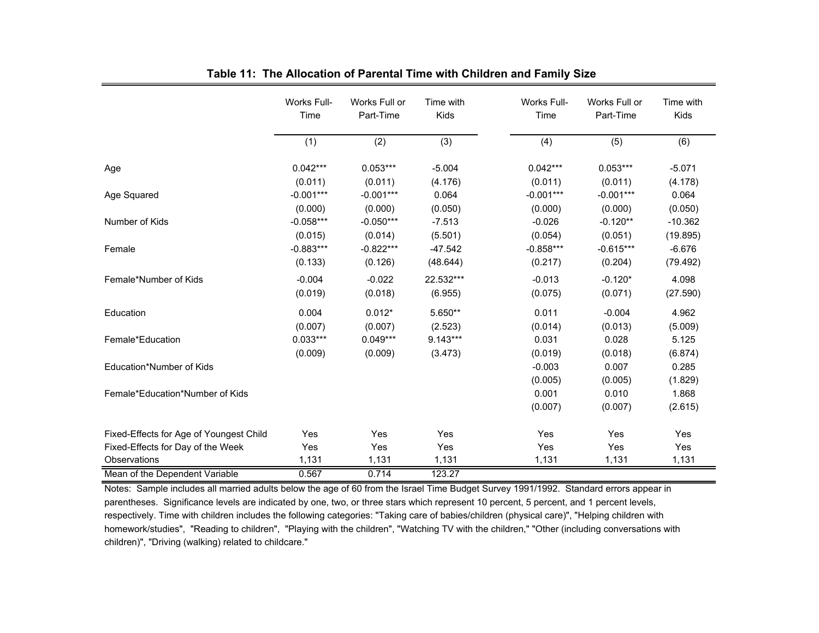|                                         | <b>Works Full-</b><br>Time | Works Full or<br>Part-Time | Time with<br>Kids | <b>Works Full-</b><br>Time | Works Full or<br>Part-Time | Time with<br>Kids |
|-----------------------------------------|----------------------------|----------------------------|-------------------|----------------------------|----------------------------|-------------------|
|                                         | (1)                        | (2)                        | (3)               | (4)                        | (5)                        | (6)               |
| Age                                     | $0.042***$                 | $0.053***$                 | $-5.004$          | $0.042***$                 | $0.053***$                 | $-5.071$          |
|                                         | (0.011)                    | (0.011)                    | (4.176)           | (0.011)                    | (0.011)                    | (4.178)           |
| Age Squared                             | $-0.001***$                | $-0.001***$                | 0.064             | $-0.001***$                | $-0.001***$                | 0.064             |
|                                         | (0.000)                    | (0.000)                    | (0.050)           | (0.000)                    | (0.000)                    | (0.050)           |
| Number of Kids                          | $-0.058***$                | $-0.050***$                | $-7.513$          | $-0.026$                   | $-0.120**$                 | $-10.362$         |
|                                         | (0.015)                    | (0.014)                    | (5.501)           | (0.054)                    | (0.051)                    | (19.895)          |
| Female                                  | $-0.883***$                | $-0.822***$                | $-47.542$         | $-0.858***$                | $-0.615***$                | $-6.676$          |
|                                         | (0.133)                    | (0.126)                    | (48.644)          | (0.217)                    | (0.204)                    | (79.492)          |
| Female*Number of Kids                   | $-0.004$                   | $-0.022$                   | 22.532***         | $-0.013$                   | $-0.120*$                  | 4.098             |
|                                         | (0.019)                    | (0.018)                    | (6.955)           | (0.075)                    | (0.071)                    | (27.590)          |
| Education                               | 0.004                      | $0.012*$                   | 5.650**           | 0.011                      | $-0.004$                   | 4.962             |
|                                         | (0.007)                    | (0.007)                    | (2.523)           | (0.014)                    | (0.013)                    | (5.009)           |
| Female*Education                        | $0.033***$                 | $0.049***$                 | $9.143***$        | 0.031                      | 0.028                      | 5.125             |
|                                         | (0.009)                    | (0.009)                    | (3.473)           | (0.019)                    | (0.018)                    | (6.874)           |
| Education*Number of Kids                |                            |                            |                   | $-0.003$                   | 0.007                      | 0.285             |
|                                         |                            |                            |                   | (0.005)                    | (0.005)                    | (1.829)           |
| Female*Education*Number of Kids         |                            |                            |                   | 0.001                      | 0.010                      | 1.868             |
|                                         |                            |                            |                   | (0.007)                    | (0.007)                    | (2.615)           |
| Fixed-Effects for Age of Youngest Child | Yes                        | Yes                        | Yes               | Yes                        | Yes                        | Yes               |
| Fixed-Effects for Day of the Week       | Yes                        | Yes                        | Yes               | Yes                        | Yes                        | Yes               |
| Observations                            | 1,131                      | 1,131                      | 1,131             | 1,131                      | 1,131                      | 1,131             |
| Mean of the Dependent Variable          | 0.567                      | 0.714                      | 123.27            |                            |                            |                   |

### **Table 11: The Allocation of Parental Time with Children and Family Size**

Notes: Sample includes all married adults below the age of 60 from the Israel Time Budget Survey 1991/1992. Standard errors appear in parentheses. Significance levels are indicated by one, two, or three stars which represent 10 percent, 5 percent, and 1 percent levels, respectively. Time with children includes the following categories: "Taking care of babies/children (physical care)", "Helping children with homework/studies", "Reading to children", "Playing with the children", "Watching TV with the children," "Other (including conversations with children)", "Driving (walking) related to childcare."